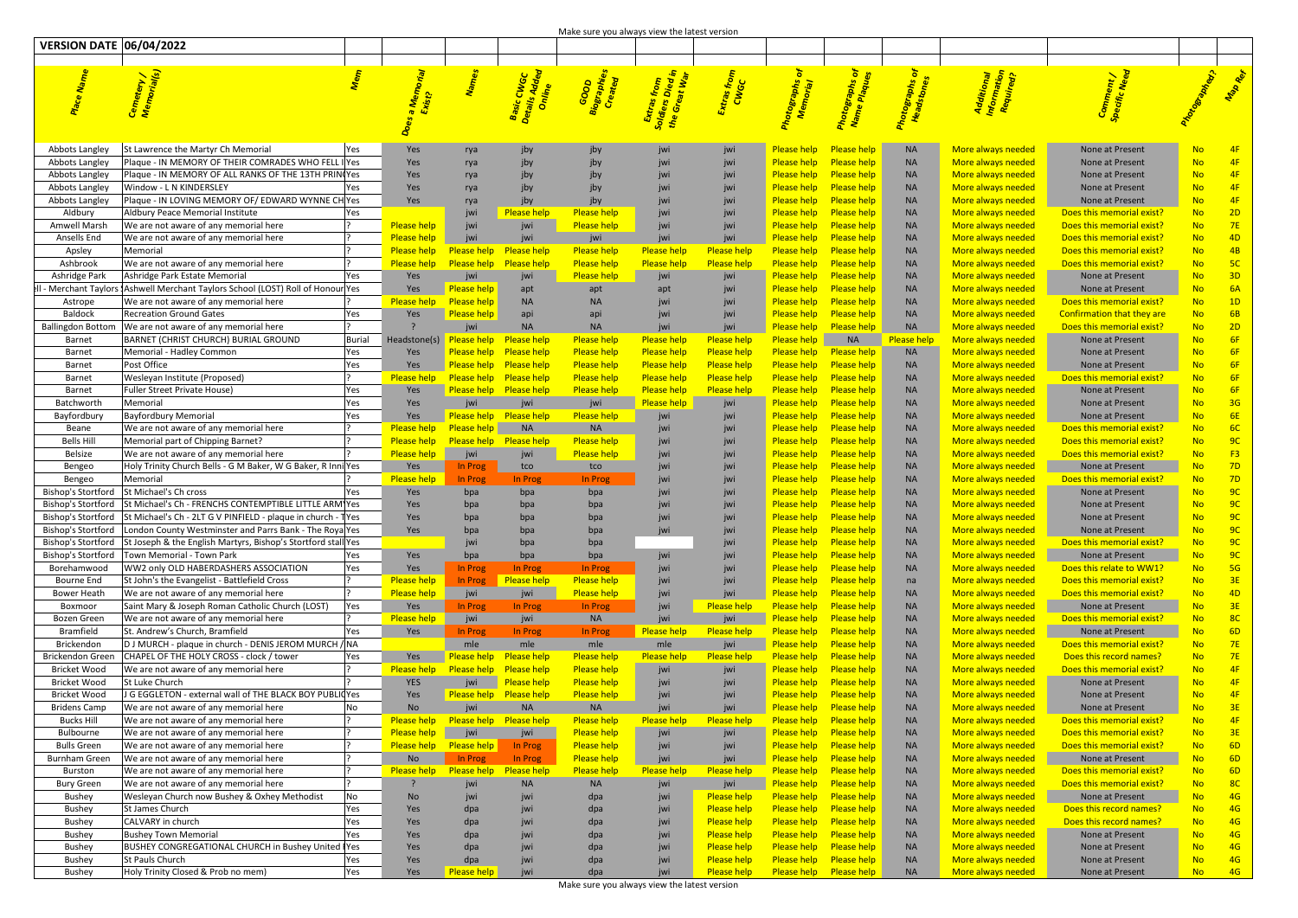

|                                        | Processes Rep |                |
|----------------------------------------|---------------|----------------|
| Com <sub>ment /</sub><br>Specific Need |               |                |
|                                        |               |                |
|                                        |               |                |
|                                        |               |                |
|                                        |               |                |
| <b>None at Present</b>                 | No            | 4F             |
| <b>None at Present</b>                 | No            | 4F             |
| <b>None at Present</b>                 | <b>No</b>     | 4F             |
|                                        |               | 4F             |
| <b>None at Present</b>                 | No            |                |
| None at Present                        | No            | 4F             |
| Does this memorial exist?              | <b>No</b>     | 2D             |
| Does this memorial exist?              | <b>No</b>     | 7E             |
| Does this memorial exist?              | <b>No</b>     | 4D             |
| Does this memorial exist?              | No            | 4B             |
| Does this memorial exist?              | <b>No</b>     | 5 <sub>C</sub> |
| None at Present                        | <b>No</b>     | 3D             |
| None at Present                        | <b>No</b>     | 6A             |
| Does this memorial exist?              | No            | 1D             |
| <b>Confirmation that they are</b>      | No            | 6 <sub>B</sub> |
| Does this memorial exist?              | No            | 2D             |
| <b>None at Present</b>                 | No            | 6F             |
| <b>None at Present</b>                 | No            | 6F             |
| None at Present                        | No            | 6F             |
| Does this memorial exist?              | No            | 6F             |
|                                        |               |                |
| <b>None at Present</b>                 | No            | 6F             |
| <b>None at Present</b>                 | No            | 3 <sub>G</sub> |
| None at Present                        | No            | 6E             |
| Does this memorial exist?              | No            | 6C             |
| Does this memorial exist?              | No            | 9C             |
| Does this memorial exist?              | No            | F <sub>3</sub> |
| None at Present                        | No            | 7D             |
| Does this memorial exist?              | <b>No</b>     | 7D             |
| <b>None at Present</b>                 | <b>No</b>     | 9C             |
| <b>None at Present</b>                 | <b>No</b>     | 9C             |
| <b>None at Present</b>                 | <b>No</b>     | 9C             |
| None at Present                        | No            | 9С             |
| Does this memorial exist?              | No.           | 9C             |
| None at Present                        | No            | 9С             |
| Does this relate to WW1?               | No            | 5G             |
| Does this memorial exist?              | No            | 3E             |
| Does this memorial exist?              | No            | 4D             |
| None at Present                        | <b>No</b>     | 3E             |
| Does this memorial exist?              | No            | 8C             |
| None at Present                        | No            | 6D             |
| Does this memorial exist?              | No            | <b>7E</b>      |
| Does this record names?                | No            | 7E             |
| Does this memorial exist?              |               |                |
|                                        | No            | 4F             |
| <b>None at Present</b>                 | No            | 4F             |
| <b>None at Present</b>                 | No            | 4F             |
| None at Present                        | <b>No</b>     | 3E             |
| Does this memorial exist?              | <b>No</b>     | 4F             |
| Does this memorial exist?              | No            | 3E             |
| Does this memorial exist?              | No            | 6D             |
| None at Present                        | No            | 6D             |
| Does this memorial exist?              | No            | 6D             |
| Does this memorial exist?              | No            | 8C             |
| None at Present                        | No            | 4G             |
| Does this record names?                | <b>No</b>     | 4G             |
| Does this record names?                | No            | 4G             |
| None at Present                        | No            | 4G             |
| None at Present                        | No            | 4G             |
| <b>None at Present</b>                 | No            | 4G             |
| None at Present                        | No            | 4G             |

| <b>VERSION DATE 06/04/2022</b>                                                                                                                                   |                                          |                                          |                                          | ivianc suit you always view the latest version |                                                  |                                          |                                                |                                          |                        |                                                        |                                                         |                                  |                      |
|------------------------------------------------------------------------------------------------------------------------------------------------------------------|------------------------------------------|------------------------------------------|------------------------------------------|------------------------------------------------|--------------------------------------------------|------------------------------------------|------------------------------------------------|------------------------------------------|------------------------|--------------------------------------------------------|---------------------------------------------------------|----------------------------------|----------------------|
|                                                                                                                                                                  |                                          |                                          |                                          |                                                |                                                  |                                          |                                                |                                          |                        |                                                        |                                                         |                                  |                      |
|                                                                                                                                                                  |                                          |                                          |                                          |                                                | Extras from<br>Soldiers Died in<br>the Great War | tras from<br>CWGC                        | <sup>rogra</sup> phs of<br><sup>Nemorial</sup> |                                          |                        |                                                        |                                                         |                                  |                      |
| St Lawrence the Martyr Ch Memorial<br>Yes<br>Abbots Langley                                                                                                      | Yes                                      | rya                                      | jby                                      | . jby                                          |                                                  | W                                        | <u>Please help</u>                             | <b>Please help</b>                       | <b>NA</b>              | More always needed                                     | None at Present                                         | <b>No</b>                        | 4F                   |
| Plaque - IN MEMORY OF THEIR COMRADES WHO FELL I Yes<br>Abbots Langley                                                                                            | Yes                                      | rya                                      | jby                                      | jby                                            |                                                  | jw                                       | <b>Please help</b>                             | <b>Please help</b>                       | <b>NA</b>              | More always needed                                     | None at Present                                         | <b>No</b>                        |                      |
| Plaque - IN MEMORY OF ALL RANKS OF THE 13TH PRIN(Yes<br>Abbots Langley<br>Window - L N KINDERSLEY<br>Abbots Langley<br>Yes                                       | Yes<br>Yes                               | rya<br>rya                               | jby<br>jby                               | jb                                             |                                                  |                                          | <b>Please help</b><br><b>Please help</b>       | <b>Please help</b><br><b>Please help</b> | <b>NA</b><br><b>NA</b> | <u>More always needed</u><br><u>More always needed</u> | None at Present<br>None at Present                      | <b>No</b><br><b>No</b>           |                      |
| Plaque - IN LOVING MEMORY OF/EDWARD WYNNE CH Yes<br>Abbots Langley                                                                                               | Yes                                      | rya                                      | jby                                      | jby<br>jby                                     |                                                  |                                          | <b>Please help</b>                             | <b>Please help</b>                       | <b>NA</b>              | <u>More always needed</u>                              | None at Present                                         | <b>No</b>                        |                      |
| Aldbury Peace Memorial Institute<br>Aldbury<br>Yes                                                                                                               |                                          | iwi                                      | <u>Please help</u>                       | <u>Please help</u>                             |                                                  | iw                                       | <b>Please help</b>                             | <b>Please help</b>                       | <b>NA</b>              | <u>More always needed</u>                              | Does this memorial exist?                               | <b>No</b>                        | 2D                   |
| Amwell Marsh<br>We are not aware of any memorial here                                                                                                            | <b>Please help</b>                       | jwi                                      | jwi                                      | Please help                                    | jwi                                              | iw                                       | <b>Please</b> he                               | <b>Please help</b>                       | <b>NA</b>              | <u>More always needed</u>                              | Does this memorial exist?                               | <b>No</b>                        | 7E                   |
| Ansells End<br>We are not aware of any memorial here<br>Apsley<br>Memorial                                                                                       | <b>Please help</b><br><b>Please help</b> | jwi                                      | iwi                                      | jwi                                            | iwi                                              |                                          | <b>Please he</b><br><b>Please help</b>         | <b>Please help</b>                       | <b>NA</b><br><b>NA</b> | More always needed                                     | Does this memorial exist?<br>Does this memorial exist?  | N <sub>o</sub><br>N <sub>o</sub> | 4D<br>4B             |
| We are not aware of any memorial here<br>Ashbrook                                                                                                                | Please help                              | <b>Please help</b><br><b>Please help</b> | <u>Please helj</u><br><u>Please hel</u>  | <b>Please help</b><br><b>Please help</b>       | <b>Please help</b><br><b>Please help</b>         | <b>Please help</b><br><b>Please help</b> | <b>Please help</b>                             | <b>Please help</b><br><b>Please help</b> | <b>NA</b>              | More always needed<br><u>More always needed</u>        | Does this memorial exist?                               | <b>No</b>                        | 50                   |
| Ashridge Park<br>Ashridge Park Estate Memorial<br>Yes                                                                                                            | Yes                                      | jwi                                      | jwi                                      | <b>Please hel</b>                              | jwi                                              | jwi                                      | <b>Please help</b>                             | <b>Please help</b>                       | <b>NA</b>              | More always needed                                     | None at Present                                         | <b>No</b>                        | 3D                   |
| II - Merchant Taylors (Ashwell Merchant Taylors School (LOST) Roll of Honour Yes                                                                                 | Yes                                      | <u>Please help</u>                       | apt                                      | apt                                            | ap <sup>-</sup>                                  |                                          | <b>Please help</b>                             | <b>Please help</b>                       | <b>NA</b>              | More always needed                                     | None at Present                                         | Nc                               | 6A                   |
| We are not aware of any memorial here<br>Astrope                                                                                                                 | <b>Please help</b>                       | <b>Please help</b>                       | <b>NA</b>                                | $N_A$                                          |                                                  |                                          | <b>Please help</b>                             | <b>Please help</b>                       | <b>NA</b>              | More always needed                                     | Does this memorial exist?                               | <b>No</b><br>No                  | 1D<br><b>6B</b>      |
| <b>Baldock</b><br><b>Recreation Ground Gates</b><br>Yes<br>We are not aware of any memorial here<br><b>Ballingdon Bottom</b>                                     | Yes                                      | Please help<br>jwi                       | api<br><b>NA</b>                         | api<br><b>NA</b>                               | iwi                                              |                                          | <b>Please help</b><br><b>Please help</b>       | <b>Please help</b><br><b>Please help</b> | <b>NA</b><br><b>NA</b> | More always needed<br>More always needed               | Confirmation that they are<br>Does this memorial exist? | <b>No</b>                        | 2D                   |
| <b>BARNET (CHRIST CHURCH) BURIAL GROUND</b><br>Burial<br>Barnet                                                                                                  | eadstone(s)                              | Please help                              | <b>Please help</b>                       | <b>Please help</b>                             | <b>Please help</b>                               | <b>Please help</b>                       | <b>Please help</b>                             | <b>NA</b>                                | <u>lease hel</u>       | More always needed                                     | None at Present                                         | <b>No</b>                        | 6F                   |
| Memorial - Hadley Common<br>Barnet<br>Yes                                                                                                                        | Yes                                      | Please help                              | <b>Please help</b>                       | <b>Please help</b>                             | <b>Please help</b>                               | <b>Please help</b>                       | <b>Please help</b>                             | <b>Please help</b>                       | <b>NA</b>              | More always needed                                     | None at Present                                         | <b>No</b>                        | <b>6F</b>            |
| Post Office<br>Yes<br>Barnet                                                                                                                                     | Yes                                      | <b>Please help</b>                       | <b>Please help</b>                       | <b>Please help</b>                             | <b>Please help</b>                               | Please help                              | <b>Please help</b>                             | <b>Please help</b>                       | <b>NA</b>              | More always needed                                     | None at Present                                         | <b>No</b>                        |                      |
| Wesleyan Institute (Proposed)<br>Barnet<br><b>Barnet</b><br>Fuller Street Private House)<br>Yes                                                                  | <u>Please help</u><br>Yes                | <b>Please help</b><br>Please help        | <b>Please help</b><br><b>Please help</b> | <b>Please help</b><br><b>Please help</b>       | <b>Please help</b><br><b>Please help</b>         | <b>Please help</b><br><b>Please help</b> | <b>Please help</b><br><b>Please help</b>       | <b>Please help</b><br><b>Please help</b> | <b>NA</b><br><b>NA</b> | <u>More always needed</u><br>More always needed        | Does this memorial exist?<br>None at Present            | <b>No</b><br><b>No</b>           | 6F<br>6F             |
| Batchworth<br>Memorial<br>Yes                                                                                                                                    | Yes                                      | jwi                                      | jwi                                      | jwi                                            | <u>Please help</u>                               | iwi                                      | <b>Please help</b>                             | <b>Please help</b>                       | <b>NA</b>              | <u>More always needed</u>                              | None at Present                                         | <b>No</b>                        |                      |
| Bayfordbury<br><b>Bayfordbury Memorial</b><br>Yes                                                                                                                | Yes                                      | Please help                              | <b>Please help</b>                       | <b>Please help</b>                             | jwi                                              |                                          | <b>Please help</b>                             | <b>Please help</b>                       | <b>NA</b>              | More always needed                                     | None at Present                                         | <b>No</b>                        | 6E                   |
| We are not aware of any memorial here<br>Beane                                                                                                                   | <b>Please help</b>                       | Please help                              | <b>NA</b>                                | <b>NA</b>                                      |                                                  | IW                                       | <b>Please help</b>                             | <b>Please help</b>                       | <b>NA</b>              | <u>More always needed</u>                              | Does this memorial exist?                               | <b>No</b>                        |                      |
| <b>Bells Hill</b><br>Memorial part of Chipping Barnet?<br>We are not aware of any memorial here<br>Belsize                                                       | <b>Please help</b><br><b>Please help</b> | <b>Please help</b><br>jwi                | <b>Please help</b><br>jwi                | <b>Please help</b><br><b>Please help</b>       | jwi<br>jwi                                       | <b>IW</b>                                | <b>Please help</b>                             | <b>Please help</b>                       | <b>NA</b><br><b>NA</b> | <u>More always needed</u>                              | Does this memorial exist?<br>Does this memorial exist?  | <b>No</b><br>No                  | F <sub>3</sub>       |
| Bengeo<br>Holy Trinity Church Bells - G M Baker, W G Baker, R Inni Yes                                                                                           | Yes                                      | <b>In Prog</b>                           | tco                                      | tco                                            |                                                  | <b>IW</b><br>iw                          | Please help<br>Please help                     | <b>Please help</b><br><u>Please help</u> | <b>NA</b>              | <u>More always needed</u><br><u>More always needed</u> | None at Present                                         | Nc                               | 7D                   |
| Memorial<br>Bengeo                                                                                                                                               | <b>Please help</b>                       | In Prog                                  | In Prog                                  | In Prog                                        |                                                  | iw                                       | <b>Please help</b>                             | <b>Please help</b>                       | <b>NA</b>              | <u>More always needed</u>                              | <u> Does this memorial exist?</u>                       | N <sub>o</sub>                   | 7D                   |
| St Michael's Ch cross<br>Bishop's Stortford<br>Yes                                                                                                               | Yes                                      | bpa                                      | bpa                                      | bpa                                            |                                                  |                                          | <b>Please help</b>                             | <u>Please help</u>                       | <b>NA</b>              | <u>More always needed</u>                              | None at Present                                         | <b>No</b>                        | 9 <sub>0</sub>       |
| St Michael's Ch - FRENCHS CONTEMPTIBLE LITTLE ARM Yes<br>Bishop's Stortford<br>Bishop's Stortford   St Michael's Ch - 2LT G V PINFIELD - plaque in church - Tyes | Yes<br>Yes                               | bpa<br>bpa                               | bpa<br>bpa                               | bpa<br>bpa                                     |                                                  |                                          | Please help<br><b>Please help</b>              | <u>Please help</u><br><b>Please help</b> | <b>NA</b><br><b>NA</b> | <u>More always needed</u><br>More always needed        | None at Present<br>None at Present                      | <b>No</b><br><b>No</b>           | 9 <sub>0</sub>       |
| Bishop's Stortford   London County Westminster and Parrs Bank - The Royal Yes                                                                                    | Yes                                      | bpa                                      | bpa                                      | bpa                                            |                                                  | iw                                       | <b>Please help</b>                             | <b>Please help</b>                       | <b>NA</b>              | More always needed                                     | None at Present                                         | <b>No</b>                        | 90                   |
| St Joseph & the English Martyrs, Bishop's Stortford stall Yes<br>Bishop's Stortford                                                                              |                                          | jwi                                      | bpa                                      | bpa                                            |                                                  | iw                                       | <b>Please help</b>                             | <b>Please help</b>                       | <b>NA</b>              | More always needed                                     | Does this memorial exist?                               | <b>No</b>                        | 9 <sup>c</sup>       |
| <b>Bishop's Stortford</b><br>Town Memorial - Town Park<br>Yes                                                                                                    | Yes                                      | bpa                                      | bpa                                      | bpa                                            |                                                  | jw                                       | <b>Please help</b>                             | <b>Please help</b>                       | <b>NA</b>              | More always needed                                     | None at Present                                         | <b>No</b>                        | $-9C$                |
| WW2 only OLD HABERDASHERS ASSOCIATION<br>Yes<br>Borehamwood<br>St John's the Evangelist - Battlefield Cross<br>Bourne End                                        | Yes<br><b>Please help</b>                | In Prog<br>In Prog                       | In Prog<br>Please help                   | In Prog<br>Please help                         |                                                  | jw                                       | <b>Please help</b><br><b>Please help</b>       | <b>Please help</b><br><b>Please help</b> | <b>NA</b><br>na        | More always needed<br>More always needed               | Does this relate to WW1?<br>Does this memorial exist?   | <b>No</b><br><b>No</b>           | 5G<br>3E             |
| We are not aware of any memorial here<br><b>Bower Heath</b>                                                                                                      | Please help                              | jwi                                      | jwi                                      | <b>Please help</b>                             | jwi                                              | jwi                                      | <b>Please help</b>                             | <b>Please help</b>                       | <b>NA</b>              | More always needed                                     | Does this memorial exist?                               | <b>No</b>                        | 4D                   |
| Saint Mary & Joseph Roman Catholic Church (LOST)<br>Yes<br>Boxmoor                                                                                               | Yes                                      | In Prog                                  | In Prog                                  | In Prog                                        | jwi                                              | <b>Please help</b>                       | <b>Please help</b>                             | <b>Please help</b>                       | <b>NA</b>              | More always needed                                     | None at Present                                         | <b>No</b>                        | 3F                   |
| We are not aware of any memorial here<br><b>Bozen Green</b>                                                                                                      | <b>Please help</b>                       | jwi                                      | jwi                                      | <b>NA</b>                                      | jwi                                              | jwi                                      | Please help                                    | <b>Please help</b>                       | <b>NA</b>              | More always needed                                     | Does this memorial exist?                               | <b>No</b>                        | 8 <sup>o</sup>       |
| St. Andrew's Church, Bramfield<br>Bramfield<br>Yes<br>D J MURCH - plaque in church - DENIS JEROM MURCH / NA<br><b>Brickendon</b>                                 | Yes                                      | In Prog<br>mle                           | In Prog<br>mle                           | In Prog<br>mle                                 | <b>Please help</b><br>mle                        | <b>Please help</b><br>jwi                | <b>Please help</b><br><b>Please help</b>       | <b>Please help</b><br><b>Please help</b> | <b>NA</b><br><b>NA</b> | More always needed<br>More always needed               | None at Present<br>Does this memorial exist?            | Nc<br><b>No</b>                  | 6 <sub>D</sub><br>7F |
| CHAPEL OF THE HOLY CROSS - clock / tower<br><b>Brickendon Green</b><br>Yes                                                                                       | Yes                                      | <b>Please help</b>                       | <b>Please help</b>                       | Please help                                    | <b>Please help</b>                               | <b>Please help</b>                       | <b>Please help</b>                             | <b>Please help</b>                       | <b>NA</b>              | <u>More always needed</u>                              | Does this record names?                                 | <b>No</b>                        | 7E                   |
| <b>Bricket Wood</b><br>We are not aware of any memorial here                                                                                                     | <b>Please help</b>                       | <b>Please help</b>                       | <b>Please help</b>                       | <b>Please help</b>                             | jwi                                              | jwi                                      | <b>Please help</b>                             | <b>Please help</b>                       | <b>NA</b>              | More always needed                                     | Does this memorial exist?                               | <b>No</b>                        | 4F                   |
| St Luke Church<br>Bricket Wood                                                                                                                                   | <b>YES</b>                               | jwi                                      | <u>Please help</u>                       | <b>Please help</b>                             | jwi                                              | jw                                       | <b>Please help</b>                             | <b>Please help</b>                       | <b>NA</b>              | More always needed                                     | None at Present                                         | <b>No</b>                        | 4F                   |
| G EGGLETON - external wall of THE BLACK BOY PUBLICYes<br>Bricket Wood<br>We are not aware of any memorial here<br><b>Bridens Camp</b><br>No                      | Yes<br><b>No</b>                         | Please help<br>iwi                       | <b>Please help</b><br><b>NA</b>          | Please help<br><b>NA</b>                       | jwi<br>jwi                                       | jw                                       | <b>Please help</b><br><u>Please help</u>       | <b>Please help</b><br><b>Please help</b> | <b>NA</b><br><b>NA</b> | More always needed<br>More always needed               | None at Present<br>None at Present                      | <b>No</b><br><b>No</b>           | 4F<br>3F             |
| <b>Bucks Hill</b><br>We are not aware of any memorial here                                                                                                       | <b>Please help</b>                       | <b>Please help</b>                       | <b>Please help</b>                       | Please help                                    | <b>Please help</b>                               | Please help                              | <b>Please help</b>                             | <b>Please help</b>                       | <b>NA</b>              | More always needed                                     | Does this memorial exist?                               | <b>No</b>                        | 4F                   |
| We are not aware of any memorial here<br>Bulbourne                                                                                                               | Please help jwi                          |                                          | jwi                                      | Please help                                    | jwi                                              | jwi                                      | <b>Please help</b>                             | <b>Please help</b>                       | <b>NA</b>              | More always needed                                     | Does this memorial exist?                               | <b>No</b>                        | 3E                   |
| <b>Bulls Green</b><br>We are not aware of any memorial here                                                                                                      | <b>Please help</b>                       | <b>Please help</b>                       | In Prog                                  | <b>Please help</b>                             | jwi                                              |                                          | <b>Please help</b>                             | <b>Please help</b>                       | <b>NA</b>              | More always needed                                     | Does this memorial exist?                               | <b>No</b>                        | 6 <sub>D</sub>       |
| <b>Burnham Green</b><br>We are not aware of any memorial here<br>We are not aware of any memorial here<br>Burston                                                | <b>No</b><br>a a T<br><b>Please help</b> | In Prog<br><b>Please help</b>            | In Prog<br><b>Please help</b>            | Please help<br>Please help                     | jwi<br><b>Please help</b>                        | iwi<br><b>Please help</b>                | <b>Please help</b><br><b>Please help</b>       | <b>Please help</b><br><b>Please help</b> | <b>NA</b><br><b>NA</b> | More always needed<br>More always needed               | None at Present<br>Does this memorial exist?            | <b>No</b><br>N <sub>o</sub>      | 6 <sub>D</sub><br>6D |
| We are not aware of any memorial here<br><b>Bury Green</b>                                                                                                       |                                          | jwi                                      | <b>NA</b>                                | <b>NA</b>                                      | jwi                                              | jwi                                      | <b>Please help</b>                             | <b>Please help</b>                       | <b>NA</b>              | More always needed                                     | Does this memorial exist?                               | <b>No</b>                        | 8C                   |
| <b>Bushey</b><br>Wesleyan Church now Bushey & Oxhey Methodist<br>No                                                                                              | <b>No</b>                                | iwi                                      |                                          | dpa                                            | jwi                                              | <b>Please help</b>                       | <b>Please help</b>                             | <b>Please help</b>                       | <b>NA</b>              | More always needed                                     | None at Present                                         | <b>No</b>                        | 4G                   |
| St James Church<br>Bushey<br>Yes                                                                                                                                 | Yes                                      | dpa                                      |                                          | dpa                                            | jw                                               | <b>Please help</b>                       | <b>Please help</b>                             | <b>Please help</b>                       | <b>NA</b>              | <u>More always needed</u>                              | Does this record names?                                 | <b>No</b>                        | 4G                   |
| <b>CALVARY</b> in church<br>Yes<br><b>Bushey</b><br><b>Bushey</b><br><b>Bushey Town Memorial</b><br>Yes                                                          | Yes<br>Yes                               | dpa<br>dpa                               |                                          | dpa<br>dpa                                     |                                                  | <b>Please help</b><br><b>Please help</b> | <b>Please help</b><br><b>Please help</b>       | <b>Please help</b><br><b>Please help</b> | <b>NA</b><br><b>NA</b> | <u>More always needed</u><br>More always needed        | Does this record names?<br>None at Present              | <b>No</b><br><b>No</b>           | 4G<br>4G             |
| <b>BUSHEY CONGREGATIONAL CHURCH in Bushey United IYes</b><br><b>Bushey</b>                                                                                       | Yes                                      | dpa                                      |                                          | dpa                                            | iw                                               | <b>Please help</b>                       | <b>Please help</b>                             | <b>Please help</b>                       | <b>NA</b>              | More always needed                                     | None at Present                                         | <b>No</b>                        |                      |
| St Pauls Church<br>Bushey<br>Yes                                                                                                                                 | Yes                                      | dpa                                      |                                          | dpa                                            | jwi                                              | <b>Please help</b>                       | <b>Please help</b>                             | <b>Please help</b>                       | <b>NA</b>              | More always needed                                     | None at Present                                         | <b>No</b>                        |                      |
| Holy Trinity Closed & Prob no mem)<br><b>Bushey</b><br>Yes                                                                                                       | Yes                                      | Please help                              |                                          | dpa                                            |                                                  | <b>Please help</b>                       | <b>Please help</b>                             | <b>Please help</b>                       | <b>NA</b>              | More always needed                                     | None at Present                                         | <b>No</b>                        |                      |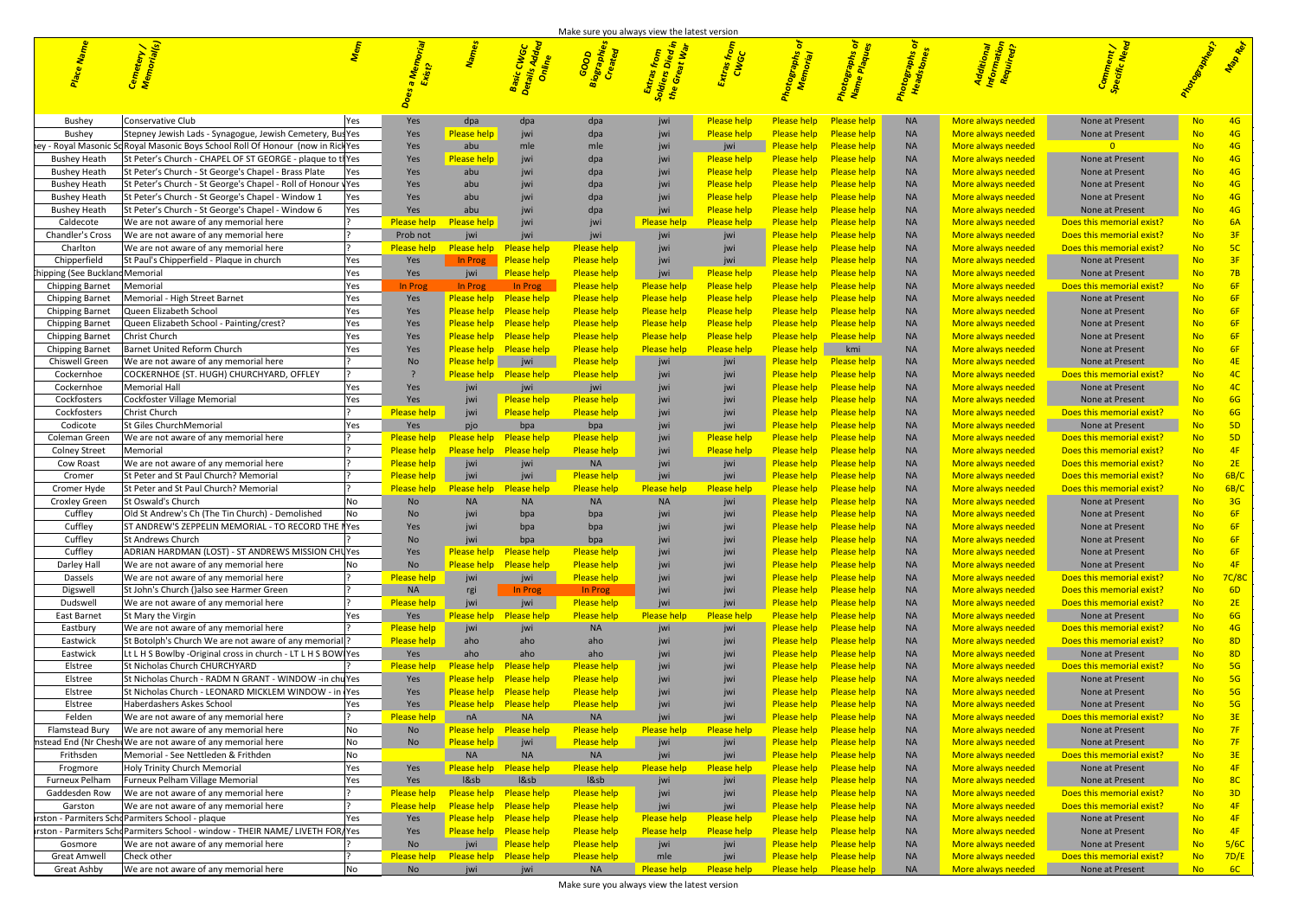| Specific Need                                          |                        |            |
|--------------------------------------------------------|------------------------|------------|
|                                                        |                        |            |
|                                                        |                        |            |
|                                                        | PAGGRANCE              |            |
| <b>None at Present</b>                                 | No                     | 4G         |
| <b>None at Present</b>                                 | No                     | 4G         |
| n                                                      | No                     | 4G         |
| <b>None at Present</b>                                 | No                     | 4G         |
| None at Present                                        | No                     | 4G         |
| <b>None at Present</b>                                 | No                     | 4G         |
| None at Present                                        | No                     | 4G         |
| None at Present                                        | <b>No</b>              | 4G         |
| Does this memorial exist?                              | <b>No</b>              | 6A<br>3F   |
| Does this memorial exist?<br>Does this memorial exist? | No<br>No               | 5C         |
| <b>None at Present</b>                                 | <b>No</b>              | 3F         |
| None at Present                                        | <b>No</b>              | 7B         |
| Does this memorial exist?                              | No                     | 6F         |
| None at Present                                        | No                     | 6F         |
| None at Present                                        | No                     | 6F         |
| None at Present                                        | No                     | 6F         |
| <b>None at Present</b>                                 | No                     | 6F         |
| <b>None at Present</b>                                 | No                     | 6F         |
| <b>None at Present</b>                                 | No                     | 4E         |
| Does this memorial exist?                              | No                     | 4C         |
| None at Present                                        | No                     | 4C         |
| None at Present                                        | No                     | 6G         |
| Does this memorial exist?                              | No                     | 6G         |
| None at Present                                        | <b>No</b>              | 5D         |
| Does this memorial exist?                              | <b>No</b>              | 5D         |
| Does this memorial exist?                              | No                     | 4F         |
| Does this memorial exist?                              | No                     | 2E         |
| Does this memorial exist?                              | No                     | 6B/C       |
| Does this memorial exist?<br><b>None at Present</b>    | No<br><b>No</b>        | 6B/C<br>3G |
| None at Present                                        | No                     | 6F         |
| None at Present                                        | <u>No</u>              | 6F         |
| <b>None at Present</b>                                 | No                     | 6F         |
| <b>None at Present</b>                                 | <b>No</b>              | 6F         |
| None at Present                                        | <b>No</b>              | 4F         |
| Does this memorial exist?                              | <b>No</b>              | 7C/8C      |
| Does this memorial exist?                              | <b>No</b>              | 6D         |
| Does this memorial exist?                              | <b>No</b>              | 2E         |
| None at Present                                        | <b>No</b>              | 6G         |
| Does this memorial exist?                              | <b>No</b>              | 4G         |
| Does this memorial exist?                              | No                     | 8D         |
| None at Present                                        | <b>No</b>              | 8D         |
| Does this memorial exist?                              | <b>No</b>              | 5G         |
| <b>None at Present</b>                                 | <b>No</b>              | 5G         |
| <b>None at Present</b>                                 | <b>No</b>              | 5G         |
| None at Present<br>Does this memorial exist?           | <b>No</b><br><b>No</b> | 5G<br>3E   |
| None at Present                                        | <b>No</b>              | 7F         |
| None at Present                                        | <b>No</b>              | 7F         |
| Does this memorial exist?                              | <b>No</b>              | 3E         |
| <b>None at Present</b>                                 | <b>No</b>              | 4F         |
| None at Present                                        | <b>No</b>              | 8C         |
| Does this memorial exist?                              | <b>No</b>              | 3D         |
| Does this memorial exist?                              | <b>No</b>              | 4F         |
| <b>None at Present</b>                                 | <b>No</b>              | 4F         |
| <b>None at Present</b>                                 | <b>No</b>              | 4F         |
| None at Present                                        | <b>No</b>              | 5/6C       |
| Does this memorial exist?                              | No                     | 7D/E       |
| None at Present                                        | N <sub>0</sub>         | 6C         |

|                                | Cemetery /<br><sup>Memorial(s)</sup>                                                                                                          |                                |                                          | Online                            |                                          | $\tilde{\mathbf{o}}$<br>Soldiers <sub>)</sub><br>the Gree |                           | orial                                    |                                          |                        | Addiner<br>Information<br>Required?      | $\overline{S}$                                         |                        |                |
|--------------------------------|-----------------------------------------------------------------------------------------------------------------------------------------------|--------------------------------|------------------------------------------|-----------------------------------|------------------------------------------|-----------------------------------------------------------|---------------------------|------------------------------------------|------------------------------------------|------------------------|------------------------------------------|--------------------------------------------------------|------------------------|----------------|
|                                |                                                                                                                                               |                                |                                          |                                   |                                          |                                                           |                           |                                          |                                          |                        |                                          |                                                        |                        |                |
| <b>Bushey</b>                  | Conservative Club<br>Yes                                                                                                                      | Yes                            | dpa                                      | dpa                               | dpa                                      | jwi                                                       | <b>Please help</b>        | Please help                              | <b>Please help</b>                       | <b>NA</b>              | More always needed                       | None at Present                                        | <b>No</b>              | 4G             |
| <b>Bushey</b>                  | Stepney Jewish Lads - Synagogue, Jewish Cemetery, Bus Yes<br>ney - Royal Masonic Sc Royal Masonic Boys School Roll Of Honour (now in Rick Yes | Yes<br>Yes                     | <b>Please help</b><br>abu                | jwi<br>mle                        | dpa<br>mle                               | jwi<br>jwi                                                | <b>Please help</b><br>jwi | Please help<br><b>Please help</b>        | <b>Please help</b><br>Please help        | <b>NA</b><br><b>NA</b> | More always needed<br>More always needed | None at Present<br>$\mathbf{0}$                        | <b>No</b><br><b>No</b> | 4G<br>4G       |
| <b>Bushey Heath</b>            | St Peter's Church - CHAPEL OF ST GEORGE - plaque to the                                                                                       | Yes                            | <b>Please help</b>                       | jwi                               | dpa                                      | jwi                                                       | <b>Please help</b>        | <b>Please help</b>                       | Please help                              | <b>NA</b>              | More always needed                       | None at Present                                        | <b>No</b>              | 4G             |
| <b>Bushey Heath</b>            | St Peter's Church - St George's Chapel - Brass Plate<br>Yes                                                                                   | Yes                            | abu                                      | jwi                               | dpa                                      | iwi                                                       | <b>Please help</b>        | <b>Please help</b>                       | <b>Please help</b>                       | <b>NA</b>              | More always needed                       | None at Present                                        | <b>No</b>              | 4G             |
| <b>Bushey Heath</b>            | St Peter's Church - St George's Chapel - Roll of Honour VYes                                                                                  | Yes                            | abu                                      | jwi                               | dpa                                      | jwi                                                       | <b>Please help</b>        | <b>Please help</b>                       | Please help                              | <b>NA</b>              | More always needed                       | None at Present                                        | <b>No</b>              | 4G             |
| <b>Bushey Heath</b>            | St Peter's Church - St George's Chapel - Window 1<br>Yes                                                                                      | Yes                            | abu                                      | jwi                               | dpa                                      | jwi                                                       | <b>Please help</b>        | <b>Please help</b>                       | <b>Please help</b>                       | <b>NA</b>              | More always needed                       | None at Present                                        | <b>No</b>              | 4G             |
| <b>Bushey Heath</b>            | St Peter's Church - St George's Chapel - Window 6<br>Yes                                                                                      | Yes                            | abu                                      | jwi                               | dpa                                      | jwi                                                       | <b>Please help</b>        | <b>Please help</b>                       | <b>Please help</b>                       | <b>NA</b>              | More always needed                       | None at Present                                        | <b>No</b>              | 4G             |
| Caldecote                      | We are not aware of any memorial here                                                                                                         | <b>Please help</b>             | Please help                              | jwi                               | jwi                                      | <b>Please help</b>                                        | <b>Please help</b>        | <b>Please help</b>                       | <b>Please help</b>                       | <b>NA</b>              | More always needed                       | Does this memorial exist?                              | <b>No</b>              | 6A             |
| <b>Chandler's Cross</b>        | We are not aware of any memorial here                                                                                                         | Prob not<br><b>Please help</b> | jwi                                      | jwi<br><b>Please help</b>         | jwi<br><b>Please help</b>                | jwi                                                       | jwi                       | <b>Please help</b>                       | Please help<br><b>Please help</b>        | <b>NA</b><br><b>NA</b> | More always needed                       | Does this memorial exist?<br>Does this memorial exist? | <b>No</b><br><b>No</b> | 3F<br>5C       |
| Charlton<br>Chipperfield       | We are not aware of any memorial here<br>St Paul's Chipperfield - Plaque in church<br>Yes                                                     | Yes                            | <b>Please help</b><br>In Prog            | Please help                       | Please help                              | jwi<br>jwi                                                | jwi<br>jwi                | <b>Please help</b><br><b>Please help</b> | <b>Please help</b>                       | <b>NA</b>              | More always needed<br>More always needed | None at Present                                        | <b>No</b>              | 3F             |
| hipping (See Buckland Memorial | Yes                                                                                                                                           | Yes                            | jwi                                      | <b>Please help</b>                | Please help                              | jwi                                                       | <b>Please help</b>        | <b>Please help</b>                       | <b>Please help</b>                       | <b>NA</b>              | More always needed                       | None at Present                                        | <b>No</b>              | 7B             |
| Chipping Barnet   Memorial     | Yes                                                                                                                                           | In Prog                        | In Prog                                  | In Prog                           | Please help                              | <b>Please help</b>                                        | <b>Please help</b>        | <b>Please help</b>                       | <b>Please help</b>                       | <b>NA</b>              | More always needed                       | Does this memorial exist?                              | <b>No</b>              | 6F             |
| <b>Chipping Barnet</b>         | Memorial - High Street Barnet<br>Yes                                                                                                          | Yes                            | Please help                              | <b>Please help</b>                | Please help                              | <b>Please help</b>                                        | <b>Please help</b>        | <b>Please help</b>                       | <b>Please help</b>                       | <b>NA</b>              | More always needed                       | None at Present                                        | <b>No</b>              | 6F             |
| <b>Chipping Barnet</b>         | Queen Elizabeth School<br>Yes                                                                                                                 | Yes                            | <b>Please help</b>                       | <b>Please help</b>                | Please help                              | <b>Please help</b>                                        | <b>Please help</b>        | <b>Please help</b>                       | <b>Please help</b>                       | <b>NA</b>              | More always needed                       | None at Present                                        | <b>No</b>              | 6F             |
| <b>Chipping Barnet</b>         | Queen Elizabeth School - Painting/crest?<br>Yes                                                                                               | Yes                            | <b>Please help</b>                       | <b>Please help</b>                | <b>Please help</b>                       | <b>Please help</b>                                        | <b>Please help</b>        | <b>Please help</b>                       | <b>Please help</b>                       | <b>NA</b>              | More always needed                       | None at Present                                        | <b>No</b>              | 6F             |
| <b>Chipping Barnet</b>         | Christ Church<br>Yes                                                                                                                          | Yes                            | <b>Please help</b>                       | <b>Please help</b>                | <b>Please help</b>                       | <b>Please help</b>                                        | <b>Please help</b>        | <b>Please help</b>                       | <b>Please help</b>                       | <b>NA</b>              | More always needed                       | None at Present                                        | <b>No</b>              | 6F             |
| <b>Chipping Barnet</b>         | Barnet United Reform Church<br>Yes                                                                                                            | Yes                            | Please help                              | <b>Please help</b>                | Please help                              | <b>Please help</b>                                        | Please help               | <b>Please help</b>                       | kmi                                      | <b>NA</b>              | More always needed                       | None at Present                                        | <b>No</b>              | 6F             |
| <b>Chiswell Green</b>          | We are not aware of any memorial here                                                                                                         | No                             | <b>Please help</b>                       | jwi                               | <b>Please help</b>                       | jwi                                                       | jwi                       | Please help                              | <b>Please help</b>                       | <b>NA</b>              | More always needed                       | None at Present                                        | <b>No</b>              | 4E             |
| Cockernhoe                     | COCKERNHOE (ST. HUGH) CHURCHYARD, OFFLEY                                                                                                      | ?                              | Please help                              | <b>Please help</b>                | <b>Please help</b>                       | jwi                                                       | jwi                       | Please help                              | Please help                              | <b>NA</b>              | More always needed                       | Does this memorial exist?                              | <b>No</b>              | 4C             |
| Cockernhoe                     | Memorial Hall<br>Yes<br>Cockfoster Village Memorial                                                                                           | Yes                            | jwi                                      | jwi<br><b>Please help</b>         | jwi                                      | iwi<br>jwi                                                | jwi                       | <b>Please help</b>                       | Please help<br><b>Please help</b>        | <b>NA</b><br><b>NA</b> | More always needed                       | None at Present<br>None at Present                     | <b>No</b><br><b>No</b> | 4C<br>6G       |
| Cockfosters<br>Cockfosters     | Yes<br>Christ Church                                                                                                                          | Yes<br>Please help             | jwi<br>jwi                               | <b>Please help</b>                | <b>Please help</b><br><b>Please help</b> | jwi                                                       | jwi<br>jwi                | <b>Please help</b><br><b>Please help</b> | Please help                              | <b>NA</b>              | More always needed<br>More always needed | Does this memorial exist?                              | <b>No</b>              | 6G             |
| Codicote                       | <b>St Giles ChurchMemorial</b><br>Yes                                                                                                         | Yes                            | pjo                                      | bpa                               | bpa                                      | jwi                                                       | jwi                       | <b>Please help</b>                       | <b>Please help</b>                       | <b>NA</b>              | More always needed                       | None at Present                                        | <b>No</b>              | <b>5D</b>      |
| Coleman Green                  | We are not aware of any memorial here                                                                                                         | <b>Please help</b>             | <u>Please help</u>                       | <b>Please help</b>                | <b>Please help</b>                       | jwi                                                       | <b>Please help</b>        | <b>Please help</b>                       | <b>Please help</b>                       | <b>NA</b>              | More always needed                       | Does this memorial exist?                              | <b>No</b>              | 5D             |
| <b>Colney Street</b>           | Memorial                                                                                                                                      | <b>Please help</b>             | <b>Please help</b>                       | <b>Please help</b>                | <b>Please help</b>                       | jwi                                                       | <b>Please help</b>        | <b>Please help</b>                       | <b>Please help</b>                       | <b>NA</b>              | More always needed                       | Does this memorial exist?                              | <b>No</b>              | 4F             |
| Cow Roast                      | We are not aware of any memorial here                                                                                                         | <b>Please help</b>             | jwi                                      | jwi                               | $\sf NA$                                 | jwi                                                       | jwi                       | <b>Please help</b>                       | <b>Please help</b>                       | <b>NA</b>              | More always needed                       | Does this memorial exist?                              | <b>No</b>              | 2E             |
| Cromer                         | St Peter and St Paul Church? Memorial                                                                                                         | <b>Please help</b>             | jwi                                      | jwi                               | Please help                              | jwi                                                       | jwi                       | <b>Please help</b>                       | <b>Please help</b>                       | <b>NA</b>              | More always needed                       | Does this memorial exist?                              | <b>No</b>              | 6B/C           |
| Cromer Hyde                    | St Peter and St Paul Church? Memorial                                                                                                         | Please help                    | <b>Please help</b>                       | <b>Please help</b>                | <b>Please help</b>                       | <b>Please help</b>                                        | <b>Please help</b>        | <b>Please help</b>                       | <b>Please help</b>                       | <b>NA</b>              | More always needed                       | Does this memorial exist?                              | <b>No</b>              | 6B/C           |
| Croxley Green                  | St Oswald's Church<br>No                                                                                                                      | No                             | <b>NA</b>                                | <b>NA</b>                         | <b>NA</b>                                | <b>NA</b>                                                 | jwi                       | Please help                              | <b>Please help</b>                       | <b>NA</b>              | More always needed                       | None at Present                                        | <b>No</b>              | 3 <sub>G</sub> |
| Cuffley                        | Old St Andrew's Ch (The Tin Church) - Demolished<br>No                                                                                        | <b>No</b>                      | jwi                                      | bpa                               | bpa                                      | jwi                                                       | jwi                       | <b>Please help</b>                       | <b>Please help</b>                       | <b>NA</b>              | More always needed                       | None at Present                                        | <b>No</b>              | 6F             |
| Cuffley                        | ST ANDREW'S ZEPPELIN MEMORIAL - TO RECORD THE NYes                                                                                            | Yes                            | iwi                                      | bpa                               | bpa                                      | iwi                                                       | jwi                       | <b>Please help</b>                       | <b>Please help</b>                       | <b>NA</b>              | More always needed                       | <b>None at Present</b>                                 | <b>No</b>              | 6F             |
| Cuffley<br>Cuffley             | <b>St Andrews Church</b><br>ADRIAN HARDMAN (LOST) - ST ANDREWS MISSION CHUYes                                                                 | No<br>Yes                      | jwi<br><b>Please help</b>                | bpa<br><b>Please help</b>         | bpa<br>Please help                       | jwi<br>jwi                                                | jwi<br>jwi                | Please help<br>Please help               | <b>Please help</b><br>Please help        | <b>NA</b><br><b>NA</b> | More always needed<br>More always needed | None at Present<br>None at Present                     | <b>No</b><br><b>No</b> | 6F<br>6F       |
| Darley Hall                    | We are not aware of any memorial here<br>No                                                                                                   | No                             | Please help                              | Please help                       | Please help                              | jwi                                                       | jwi                       | Please help                              | Please help                              | <b>NA</b>              | More always needed                       | None at Present                                        | <b>No</b>              | 4F             |
| Dassels                        | We are not aware of any memorial here                                                                                                         | Please help                    | jwi                                      | jwi                               | Please help                              | iwi                                                       | jwi                       | Please help                              | Please help                              | <b>NA</b>              | More always needed                       | Does this memorial exist?                              | <b>No</b>              | 7C/8C          |
| Digswell                       | St John's Church () also see Harmer Green                                                                                                     | <b>NA</b>                      | rgi                                      | In Prog                           | In Prog                                  | jwi                                                       | jwi                       | Please help                              | Please help                              | <b>NA</b>              | More always needed                       | Does this memorial exist?                              | <b>No</b>              | 6D             |
| Dudswell                       | We are not aware of any memorial here                                                                                                         | <b>Please help</b>             | jwi                                      | jwi                               | Please help                              | jwi                                                       | jwi                       | Please help                              | Please help                              | <b>NA</b>              | More always needed                       | Does this memorial exist?                              | <b>No</b>              | 2E             |
| East Barnet                    | St Mary the Virgin<br>Yes                                                                                                                     | Yes                            | <b>Please help</b>                       | <b>Please help</b>                | Please help                              | <b>Please help</b>                                        | <b>Please help</b>        | Please help                              | Please help                              | <b>NA</b>              | More always needed                       | None at Present                                        | <b>No</b>              | 6G             |
| Eastbury                       | We are not aware of any memorial here                                                                                                         | <b>Please help</b>             | jwi                                      | jwi                               | <b>NA</b>                                | jwi                                                       | jwi                       | Please help                              | Please help                              | <b>NA</b>              | More always needed                       | Does this memorial exist?                              | <b>No</b>              | 4G             |
| Eastwick                       | St Botolph's Church We are not aware of any memorial                                                                                          | Please help                    | aho                                      | aho                               | aho                                      | jwi                                                       | jwi                       | Please help                              | Please help                              | <b>NA</b>              | More always needed                       | Does this memorial exist?                              | <b>No</b>              | 8D             |
| Eastwick                       | Lt L H S Bowlby -Original cross in church - LT L H S BOWIYes                                                                                  | Yes                            | aho                                      | aho                               | aho                                      | jwi                                                       | jwi                       | Please help                              | Please help                              | <b>NA</b>              | More always needed                       | None at Present                                        | <b>No</b>              | 8D             |
| Elstree                        | St Nicholas Church CHURCHYARD                                                                                                                 | <b>Please help</b>             | <b>Please help</b>                       | <b>Please help</b>                | <b>Please help</b>                       | jwi                                                       | jwi                       | Please help                              | <b>Please help</b>                       | <b>NA</b>              | More always needed                       | Does this memorial exist?                              | <b>No</b>              | 5G             |
| Elstree                        | St Nicholas Church - RADM N GRANT - WINDOW -in chuYes                                                                                         | Yes                            | <b>Please help</b><br><b>Please help</b> | Please help                       | Please help                              | jwi                                                       | jwi                       | Please help                              | Please help                              | <b>NA</b>              | More always needed                       | None at Present                                        | <b>No</b>              | 5G             |
| Elstree<br>Elstree             | St Nicholas Church - LEONARD MICKLEM WINDOW - in Yes<br>Haberdashers Askes School<br>Yes                                                      | Yes<br>Yes                     | <b>Please help</b>                       | <b>Please help</b><br>Please help | Please help<br><b>Please help</b>        | jwi<br>jwi                                                | jwi<br>jwi                | Please help<br>Please help               | Please help<br>Please help               | <b>NA</b><br><b>NA</b> | More always needed<br>More always needed | None at Present<br>None at Present                     | <b>No</b><br><b>No</b> | 5G<br>5G       |
| Felden                         | We are not aware of any memorial here                                                                                                         | Please help                    | nA                                       | <b>NA</b>                         | <b>NA</b>                                | jwi                                                       | jwi                       | Please help                              | Please help                              | <b>NA</b>              | More always needed                       | Does this memorial exist?                              | <b>No</b>              | 3E             |
| <b>Flamstead Bury</b>          | We are not aware of any memorial here<br>No                                                                                                   | No                             | <b>Please help</b>                       | <b>Please help</b>                | <b>Please help</b>                       | <b>Please help</b>                                        | <b>Please help</b>        | <b>Please help</b>                       | <b>Please help</b>                       | <b>NA</b>              | More always needed                       | None at Present                                        | <b>No</b>              | 7F             |
|                                | nstead End (Nr Chesht We are not aware of any memorial here<br>No                                                                             | <b>No</b>                      | Please help                              | jwi                               | <b>Please help</b>                       | jwi                                                       | jwi                       | Please help                              | Please help                              | <b>NA</b>              | More always needed                       | None at Present                                        | <b>No</b>              | 7F             |
| Frithsden                      | Memorial - See Nettleden & Frithden<br>No                                                                                                     |                                | <b>NA</b>                                | <b>NA</b>                         | <b>NA</b>                                | jwi                                                       | jwi                       | Please help                              | <b>Please help</b>                       | <b>NA</b>              | More always needed                       | Does this memorial exist?                              | <b>No</b>              | 3E             |
| Frogmore                       | Yes<br><b>Holy Trinity Church Memorial</b>                                                                                                    | Yes                            | <b>Please help</b>                       | <b>Please help</b>                | <b>Please help</b>                       | <b>Please help</b>                                        | <b>Please help</b>        | Please help                              | <b>Please help</b>                       | <b>NA</b>              | More always needed                       | None at Present                                        | <b>No</b>              | 4F             |
| Furneux Pelham                 | Furneux Pelham Village Memorial<br>Yes                                                                                                        | Yes                            | I&sb                                     | I&sb                              | I&sb                                     | jwi                                                       | jwi                       | Please help                              | Please help                              | <b>NA</b>              | More always needed                       | None at Present                                        | <b>No</b>              | 8C             |
| Gaddesden Row                  | We are not aware of any memorial here                                                                                                         | <b>Please help</b>             | <b>Please help</b>                       | Please help                       | Please help                              | jwi                                                       | jwi                       | Please help                              | Please help                              | <b>NA</b>              | More always needed                       | Does this memorial exist?                              | <b>No</b>              | 3D             |
| Garston                        | We are not aware of any memorial here                                                                                                         | <b>Please help</b>             | Please help                              | Please help                       | Please help                              | jwi                                                       | jwi                       | Please help                              | Please help                              | <b>NA</b>              | More always needed                       | Does this memorial exist?                              | <b>No</b>              | 4F             |
|                                | irston - Parmiters SchoParmiters School - plaque<br>Yes                                                                                       | Yes                            |                                          | Please help Please help           | Please help                              | <b>Please help</b>                                        | <b>Please help</b>        | <b>Please help</b>                       | <b>Please help</b>                       | <b>NA</b>              | More always needed                       | None at Present                                        | <b>No</b>              | 4F             |
|                                | Irston - Parmiters SchoParmiters School - window - THEIR NAME/ LIVETH FOR/Yes                                                                 | Yes                            | Please help                              | Please help                       | Please help                              | <b>Please help</b>                                        | <b>Please help</b>        | Please help                              | <b>Please help</b>                       | <b>NA</b>              | More always needed                       | None at Present                                        | <b>No</b>              | 4F             |
| Gosmore<br><b>Great Amwell</b> | We are not aware of any memorial here<br>Check other                                                                                          | No<br><b>Please help</b>       | jwi                                      | Please help<br><b>Please help</b> | Please help<br>Please help               | jwi<br>mle                                                | jwi<br>jwi                | Please help<br>Please help               | <b>Please help</b><br><b>Please help</b> | <b>NA</b><br><b>NA</b> | More always needed<br>More always needed | None at Present<br>Does this memorial exist?           | <b>No</b>              | 5/6C<br>7D/E   |
| <b>Great Ashby</b>             | We are not aware of any memorial here<br>No                                                                                                   | <b>No</b>                      | <b>Please help</b><br>jwi                | jwi                               | <b>NA</b>                                | <b>Please help</b>                                        | <b>Please help</b>        |                                          | Please help Please help                  | <b>NA</b>              | More always needed                       | None at Present                                        | <b>No</b><br><b>No</b> | 6C             |
|                                |                                                                                                                                               |                                |                                          |                                   |                                          |                                                           |                           |                                          |                                          |                        |                                          |                                                        |                        |                |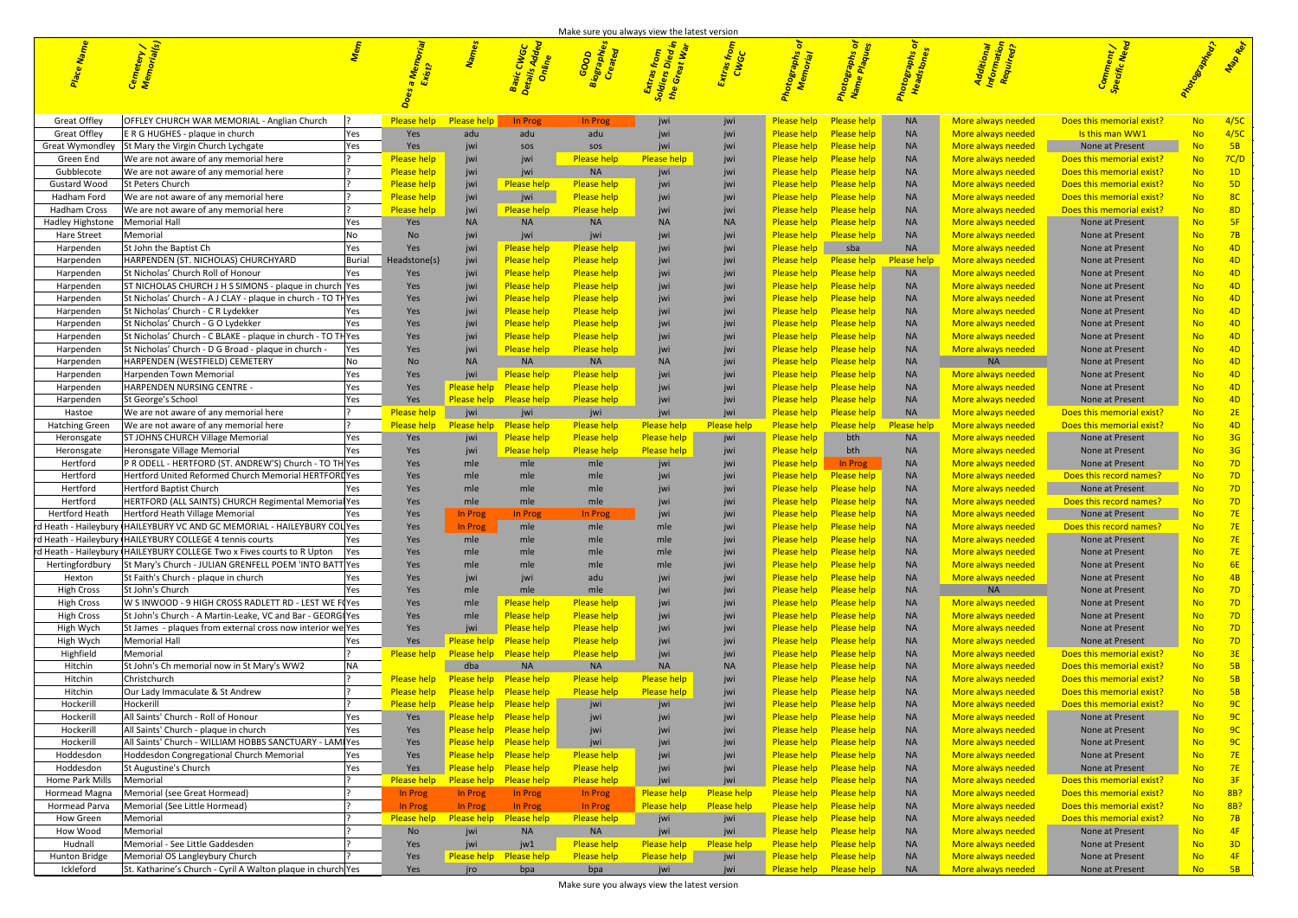| Comment)<br><sup>Qectific</sup> Need                   | Protosionne     |                                  |
|--------------------------------------------------------|-----------------|----------------------------------|
|                                                        |                 |                                  |
|                                                        |                 |                                  |
|                                                        |                 |                                  |
| Does this memorial exist?                              | No              | 4/5C                             |
| Is this man WW1                                        | No              | 4/5C                             |
| None at Present                                        | No              | 5B                               |
| Does this memorial exist?                              | No              | 7C/D                             |
| Does this memorial exist?                              | No              | 1D                               |
| Does this memorial exist?<br>Does this memorial exist? | No<br>No        | 5D<br>8C                         |
| Does this memorial exist?                              | No              | 8D                               |
| <b>None at Present</b>                                 | No              | 5F                               |
| <b>None at Present</b>                                 | No              | 7B                               |
| <b>None at Present</b>                                 | No              | 4D                               |
| <b>None at Present</b>                                 | No              | 4 <sub>D</sub>                   |
| None at Present<br>None at Present                     | No<br><b>No</b> | 4 <sub>D</sub><br>4 <sub>D</sub> |
| <b>None at Present</b>                                 | No              | 4 <sub>D</sub>                   |
| None at Present                                        | No              | 4 <sub>D</sub>                   |
| None at Present                                        | No              | 4 <sub>D</sub>                   |
| None at Present                                        | No              | 4 <sub>D</sub>                   |
| None at Present                                        | <b>No</b>       | 4 <sub>D</sub>                   |
| None at Present                                        | No              | 4 <sub>D</sub>                   |
| <b>None at Present</b><br><b>None at Present</b>       | No<br>No        | 4 <sub>D</sub><br>4 <sub>D</sub> |
| <b>None at Present</b>                                 | No              | 4 <sub>D</sub>                   |
| Does this memorial exist?                              | No              | 2E                               |
| Does this memorial exist?                              | No              | 4 <sub>D</sub>                   |
| <b>None at Present</b>                                 | No              | 3G                               |
| <b>None at Present</b>                                 | No              | 3 <sub>G</sub>                   |
| None at Present                                        | No              | 7D                               |
| Does this record names?<br><b>None at Present</b>      | No<br>No        | 7D<br>7D                         |
| Does this record names?                                | No              | 7D                               |
| <b>None at Present</b>                                 | No              | <b>7E</b>                        |
| <mark>s this record names:</mark>                      | <b>No</b>       | 7E                               |
| None at Present                                        | No              | 7E                               |
| None at Present                                        | No              | <b>7E</b>                        |
| None at Present                                        | No              | 6E                               |
| None at Present<br>None at Present                     | No<br>No        | 4B<br>7D                         |
| <b>None at Present</b>                                 | No              | 7D                               |
| <b>None at Present</b>                                 | No              | 7D                               |
| <b>None at Present</b>                                 | No              | 7D                               |
| None at Present                                        | No              | 7D                               |
| Does this memorial exist?                              | No              | 3E                               |
| Does this memorial exist?                              | No              | 5B                               |
| Does this memorial exist?<br>Does this memorial exist? | No<br>No        | 5B<br>5B                         |
| Does this memorial exist?                              | No              | 9C                               |
| <b>None at Present</b>                                 | No              | 9C                               |
| None at Present                                        | No              | 9C                               |
| None at Present                                        | No              | 9C                               |
| None at Present                                        | No              | <b>7E</b>                        |
| None at Present<br>Does this memorial exist?           | No<br><b>No</b> | <b>7E</b><br>3F                  |
| Does this memorial exist?                              | <b>No</b>       | 8B?                              |
| Does this memorial exist?                              | No              | 8B?                              |
| Does this memorial exist?                              | No              | 7B                               |
| None at Present                                        | No              | 4F                               |
| None at Present                                        | No              | 3D                               |
| None at Present                                        | No              | 4F                               |
| None at Present                                        | No              | 5B                               |

Make sure you always view the latest version<br>  $\frac{S}{\sqrt{2}}$ 

| Great Offley               | <b>OFFLEY CHURCH WAR MEMORIAL - Anglian Church</b>                                                                                                  |        |                                          | <b>Please help</b> Please help      | In Prog                                            | In Prog                                  | <b>iwi</b>                        |                           | <b>Please help</b>                         | <b>Please help</b>                                 | <b>NA</b>                      | More always needed                       | Does this memorial exist?                              | No.                    |                |
|----------------------------|-----------------------------------------------------------------------------------------------------------------------------------------------------|--------|------------------------------------------|-------------------------------------|----------------------------------------------------|------------------------------------------|-----------------------------------|---------------------------|--------------------------------------------|----------------------------------------------------|--------------------------------|------------------------------------------|--------------------------------------------------------|------------------------|----------------|
| Great Offley               | E R G HUGHES - plaque in church                                                                                                                     | Yes    | Yes                                      |                                     | adu                                                | adu                                      |                                   |                           | <b>Please help</b>                         | <b>Please help</b>                                 | <b>NA</b>                      | More always needed                       | <u>Is this man WW1</u>                                 | No                     | 4/5            |
| Great Wymondley            | St Mary the Virgin Church Lychgate                                                                                                                  | Yes    | Yes                                      |                                     | SOS                                                | sos                                      | JWI                               |                           | <b>Please help</b>                         | <b>Please help</b>                                 | <b>NA</b>                      | More always needed                       | None at Present                                        |                        | $-5B$          |
| Green End                  | We are not aware of any memorial here                                                                                                               |        | <b>Please help</b>                       | iw                                  |                                                    | <b>Please help</b>                       | <b>Please help</b>                |                           | <b>Please help</b>                         | <b>Please help</b>                                 | <b>NA</b>                      | More always needed                       | Does this memorial exist?                              | <b>No</b>              | - 7C/I         |
| Gubblecote<br>Gustard Wood | We are not aware of any memorial here<br>St Peters Church                                                                                           |        | <b>Please help</b><br><b>Please help</b> | jwi                                 | lease help                                         | <b>NA</b><br><b>Please help</b>          | jwi                               |                           | <b>Please help</b><br><b>Please help</b>   | <b>Please help</b><br><b>Please help</b>           | <b>NA</b><br><b>NA</b>         | More always needed<br>More always needed | Does this memorial exist?<br>Does this memorial exist? | N <sub>c</sub>         | - 5D           |
| Hadham Ford                | We are not aware of any memorial here                                                                                                               |        | <b>Please help</b>                       | iw                                  | jwi                                                | <b>Please help</b>                       | jwi                               |                           | <b>Please help</b>                         | <b>Please help</b>                                 | <b>NA</b>                      | More always needed                       | Does this memorial exist?                              |                        |                |
| Hadham Cross               | We are not aware of any memorial here                                                                                                               |        | <u>Please help</u>                       | jwi                                 | lease help                                         | <b>Please help</b>                       | jwi                               |                           | Please help                                | <b>Please help</b>                                 | <b>NA</b>                      | More always needed                       | Does this memorial exist?                              | <b>No</b>              | - 8D           |
| Hadley Highstone           | Memorial Hall                                                                                                                                       |        | Yes                                      |                                     | <b>NA</b>                                          | <b>NA</b>                                | NA                                |                           | Please help-                               | <b>Please help</b>                                 | <b>NA</b>                      | More always needed                       | None at Present                                        | No                     |                |
| Hare Street                | Memorial                                                                                                                                            | INo.   | -No                                      |                                     | jwi                                                |                                          |                                   |                           | <b>Please help</b>                         | Please help                                        | <b>NA</b>                      | More always needed                       | None at Present                                        | No                     |                |
| Harpender                  | St John the Baptist Ch                                                                                                                              | Yes    | Yes                                      |                                     | <u>lease hel</u>                                   | <b>Please help</b>                       | iw                                |                           | Please help sba                            |                                                    | <b>NA</b>                      | More always needed                       | None at Present                                        | No.                    |                |
| Harpender                  | HARPENDEN (ST. NICHOLAS) CHURCHYARD                                                                                                                 | Burial | eadstone(s)                              |                                     | Please hel <sub>l</sub>                            | <b>Please help</b>                       | iw                                |                           | <u>Please help</u>                         | <b>Please help</b>                                 | <b>Please help</b>             | More always needed                       | None at Present                                        | No.                    |                |
| Harpender                  | St Nicholas' Church Roll of Honour                                                                                                                  | Yes    | Yes                                      |                                     | lease helj                                         | <b>Please help</b>                       |                                   |                           | <b>Please help</b>                         | <b>Please help</b>                                 | <b>NA</b>                      | More always needed                       | None at Present                                        | No.                    |                |
| Harpender                  | ST NICHOLAS CHURCH J H S SIMONS - plaque in church Yes                                                                                              |        | Yes<br>Yes                               |                                     | lease help<br><u>lease help</u>                    | <b>Please help</b><br><b>Please help</b> | iw<br>iwi                         |                           | <b>Please help</b>                         | <b>Please help</b><br><b>Please help</b>           | <b>NA</b><br><b>NA</b>         | More always needed<br>More always needed | None at Present<br>None at Present                     | No<br>No               | 4 <sub>D</sub> |
| Harpenden<br>Harpender     | St Nicholas' Church - A J CLAY - plaque in church - TO THYes<br>St Nicholas' Church - C R Lydekker                                                  | Yes    | Yes                                      |                                     | <u>lease help</u>                                  | <b>Please help</b>                       | iw                                |                           | <b>Please help</b><br><u>Please help -</u> | <b>Please help</b>                                 | <b>NA</b>                      | More always needed                       | None at Present                                        | No                     | 4 <sup>D</sup> |
| Harpenden                  | St Nicholas' Church - G O Lydekker                                                                                                                  |        | Yes                                      |                                     | <u>lease help</u>                                  | <b>Please help</b>                       | iwi                               |                           | <u>Please help </u>                        | <b>Please help</b>                                 | <b>NA</b>                      | More always needed                       | None at Present                                        | No.                    |                |
| Harpenden                  | St Nicholas' Church - C BLAKE - plaque in church - TO THYes                                                                                         |        | Yes                                      |                                     | <u>lease help</u>                                  | <b>Please help</b>                       | jwi                               |                           | <u>Please help-</u>                        | <b>Please help</b>                                 | <b>NA</b>                      | More always needed                       | None at Present                                        | No.                    |                |
| Harpenden                  | St Nicholas' Church - D G Broad - plaque in church -                                                                                                |        | Yes                                      |                                     | lease help                                         | <b>Please help</b>                       |                                   |                           | <b>Please help</b>                         | <b>Please help</b>                                 | <b>NA</b>                      | More always needed                       | None at Present                                        | <b>No</b>              |                |
| Harpenden                  | HARPENDEN (WESTFIELD) CEMETERY                                                                                                                      | INo.   | <b>No</b>                                |                                     | <b>NA</b>                                          | <b>NA</b>                                | <b>NA</b>                         |                           | <b>Please help</b>                         | <b>Please help</b>                                 | <b>NA</b>                      | <b>NA</b>                                | None at Present                                        | <b>No</b>              |                |
| Harpenden                  | Harpenden Town Memorial                                                                                                                             | Yes    | Yes                                      | jwi                                 | <u>Please helj</u>                                 | <b>Please help</b>                       |                                   |                           | <b>Please help</b>                         | <b>Please help</b>                                 | <b>NA</b>                      | More always needed                       | None at Present                                        | No.                    |                |
| Harpenden                  | HARPENDEN NURSING CENTRE -                                                                                                                          | Yes    | Yes                                      | <b>Please help</b>                  | <b>Please help</b>                                 | <b>Please help</b>                       |                                   |                           | <b>Please help</b>                         | Please help                                        | <b>NA</b>                      | More always needed                       | None at Present                                        | No                     |                |
| Harpender                  | St George's School                                                                                                                                  | Yes    | Yes                                      |                                     | Please help - Please help-                         | <b>Please help</b>                       | iw                                |                           | <u>Please help - </u>                      | Please help                                        | <b>NA</b>                      | More always needed                       | None at Present                                        |                        |                |
| Hastoe                     | We are not aware of any memorial here                                                                                                               |        | <b>Please help</b>                       | iwi                                 | iwi                                                | <b>iwi</b>                               | iw                                |                           | Please help                                | <b>Please help</b> NA                              |                                | More always needed                       | Does this memorial exist?                              | <b>No</b>              |                |
| <b>Hatching Green</b>      | We are not aware of any memorial here<br>ST JOHNS CHURCH Village Memorial                                                                           |        | <b>Please help</b><br>Yes                | <b>Please help</b><br>jwi           | <b>Please help</b><br><u>Please heli</u>           | <b>Please help</b><br><b>Please help</b> | <b>Please help</b><br>Please help | <b>Please help</b><br>jwi | <b>Please help</b><br>Please help i        | <b>Please help</b><br>bth                          | <b>Please hel</b><br><b>NA</b> | More always needed<br>More always needed | Does this memorial exist?<br>None at Present           |                        |                |
| Heronsgate<br>Heronsgate   | Heronsgate Village Memorial                                                                                                                         | Yes    | Yes                                      |                                     | <u>Please helj</u>                                 | <b>Please help</b>                       | <b>Please help</b>                |                           | <u>Please help-</u>                        | bth                                                |                                | More always needed                       | None at Present                                        |                        |                |
| Hertford                   | P R ODELL - HERTFORD (ST. ANDREW'S) Church - TO TH Yes                                                                                              |        | Yes                                      |                                     | mle                                                | mle                                      |                                   |                           | <u>Please help-</u>                        | <b>In Prog</b>                                     |                                | More always needed                       | None at Present                                        |                        |                |
| Hertford                   | Hertford United Reformed Church Memorial HERTFORDYes                                                                                                |        | Yes                                      |                                     | mle                                                | mle                                      |                                   |                           | <u>Please help </u>                        | <b>Please help</b>                                 | <b>NA</b>                      | More always needed                       | Does this record names?                                | N <sub>o</sub>         |                |
| Hertford                   | Hertford Baptist Church                                                                                                                             |        | Yes                                      |                                     | mle                                                |                                          |                                   |                           | <u>Please help -</u>                       | <b>Please help</b>                                 | <b>NA</b>                      | More always needed                       | None at Present                                        |                        |                |
| Hertford                   | HERTFORD (ALL SAINTS) CHURCH Regimental Memorial Yes                                                                                                |        | Yes                                      |                                     | mle                                                |                                          |                                   |                           | <u>Please help -</u>                       | <b>Please help</b>                                 | <b>NA</b>                      | More always needed                       | Does this record names?                                | <b>No</b>              |                |
| Hertford Heath             | Hertford Heath Village Memorial                                                                                                                     |        | Yes                                      | In Prog                             | In Prog                                            | In Prog                                  |                                   |                           |                                            | Please help Please help                            | <b>NA</b>                      | More always needed                       | None at Present                                        |                        |                |
|                            | Heath - Haileybury (HAILEYBURY VC AND GC MEMORIAL - HAILEYBURY COL Yes                                                                              |        | Yes                                      |                                     | mle                                                | mle                                      |                                   |                           | <b>Please help</b>                         | <b>Please help</b>                                 | <b>NA</b>                      | More always needed                       | Does this record names?                                | INC                    |                |
|                            | rd Heath - Haileybury (HAILEYBURY COLLEGE 4 tennis courts                                                                                           | Yes    | Yes                                      | mle                                 | mle                                                | $m$ le                                   | mle                               |                           | <u>Please help</u>                         | <b>Please help</b>                                 | <b>NA</b>                      | More always needed                       | None at Present                                        | No                     |                |
|                            | rd Heath - Haileybury (HAILEYBURY COLLEGE Two x Fives courts to R Upton<br>Hertingfordbury   St Mary's Church - JULIAN GRENFELL POEM 'INTO BATT Yes | lYes   | Yes<br>Yes                               |                                     | mle                                                |                                          |                                   |                           | <b>Please help</b>                         | <b>Please help</b><br><b>Please help</b>           | <b>NA</b>                      | More always needed                       | None at Present                                        | <b>No</b><br><b>No</b> |                |
| Hexton                     | St Faith's Church - plaque in church                                                                                                                | Yes    | Yes                                      |                                     | mle                                                | mle<br>adu                               |                                   |                           | <u>Please help</u><br><u>Please help</u>   | <b>Please help</b>                                 | <b>NA</b><br><b>NA</b>         | More always needed<br>More always needed | None at Present<br>None at Present                     | <b>No</b>              |                |
| <b>High Cross</b>          | St John's Church                                                                                                                                    | Yes    | Yes                                      |                                     | mle                                                | mle                                      |                                   |                           | <b>Please help</b>                         | <b>Please help</b>                                 | <b>NA</b>                      | <b>NA</b>                                | None at Present                                        | <b>No</b>              |                |
| <b>High Cross</b>          | W S INWOOD - 9 HIGH CROSS RADLETT RD - LEST WE FIYes                                                                                                |        | Yes                                      |                                     | <u>lease help</u>                                  | <b>Please help</b>                       | iw                                |                           | <b>Please help</b>                         | <b>Please help</b>                                 | <b>NA</b>                      | More always needed                       | None at Present                                        | <b>No</b>              |                |
| <b>High Cross</b>          | St John's Church - A Martin-Leake, VC and Bar - GEORGI Yes                                                                                          |        | Yes                                      |                                     | <u>Please helj</u>                                 | <b>Please help</b>                       | iwi                               |                           | <b>Please help</b>                         | <b>Please help</b>                                 | <b>NA</b>                      | More always needed                       | None at Present                                        | <b>No</b>              |                |
| High Wych                  | St James - plaques from external cross now interior well Yes                                                                                        |        | Yes                                      | jwi                                 | <u>Please heli</u>                                 | <b>Please help</b>                       | jwi                               |                           | <b>Please help</b>                         | <b>Please help</b>                                 | <b>NA</b>                      | More always needed                       | None at Present                                        | <b>No</b>              |                |
| High Wych                  | <b>Memorial Hall</b>                                                                                                                                | lYes.  | Yes                                      |                                     | <u>Please help - Please help</u>                   | <b>Please help</b>                       | jwi                               |                           | Please help                                | <b>Please help</b>                                 | <b>NA</b>                      | More always needed                       | None at Present                                        | Nd                     |                |
| Highfield                  | Memorial                                                                                                                                            |        | Please help                              | <b>Please help Please help</b>      |                                                    | <b>Please help</b>                       | iwi                               |                           | Please help                                | <b>Please help</b>                                 | <b>NA</b>                      | More always needed                       | Does this memorial exist?                              | <b>No</b>              |                |
| Hitchin                    | St John's Ch memorial now in St Mary's WW2                                                                                                          | INA.   |                                          | dba                                 | <b>NA</b>                                          | <b>NA</b>                                | <b>NA</b>                         |                           |                                            | Please help Please help                            | <b>NA</b>                      | More always needed                       | Does this memorial exist?                              | Nc                     | $-5B$          |
| Hitchin                    | Christchurch                                                                                                                                        |        |                                          | Please help Please help Please help |                                                    | <b>Please help</b>                       | Please help                       |                           |                                            | Please help Please help                            | <b>NA</b>                      | More always needed                       | Does this memorial exist?                              | Nc                     | $-5B$          |
| Hitchin                    | Our Lady Immaculate & St Andrew                                                                                                                     |        | <b>Please help</b>                       |                                     | <b>Please help Please help</b>                     | <b>Please help</b>                       | Please hel                        |                           |                                            | Please help Please help                            | <b>NA</b>                      | More always needed                       | Does this memorial exist?                              |                        | <b>5B</b>      |
| Hockerill<br>Hockerill     | Hockerill<br>All Saints' Church - Roll of Honour                                                                                                    | Yes    | <b>Please help</b><br>Yes                |                                     | Please help Please help<br>Please help Please help | iwi                                      | iwi                               |                           |                                            | Please help Please help<br>Please help Please help | <b>NA</b><br><b>NA</b>         | More always needed<br>More always needed | Does this memorial exist?<br>None at Present           | <b>No</b><br><b>No</b> |                |
| Hockerill                  | All Saints' Church - plaque in church                                                                                                               | Yes    | Yes                                      |                                     | <b>Please help</b> Please help                     | iw                                       |                                   |                           |                                            | Please help Please help                            | <b>NA</b>                      | More always needed                       | None at Present                                        | <b>No</b>              |                |
| Hockerill                  | All Saints' Church - WILLIAM HOBBS SANCTUARY - LAMIYes                                                                                              |        | Yes                                      |                                     | <b>Please help</b> Please help                     | jwi                                      |                                   |                           | <u>Please help -</u>                       | <b>Please help</b>                                 | <b>NA</b>                      | More always needed                       | None at Present                                        | <b>No</b>              |                |
| Hoddesdon                  | Hoddesdon Congregational Church Memorial                                                                                                            | Yes    | Yes                                      |                                     | Please help - Please help -                        | <b>Please help</b>                       | iwi                               |                           | <u>Please help</u>                         | <b>Please help</b>                                 | <b>NA</b>                      | More always needed                       | None at Present                                        | <b>No</b>              |                |
| Hoddesdon                  | <b>St Augustine's Church</b>                                                                                                                        | Yes    | Yes                                      |                                     | Please help - Please help-                         | <b>Please help</b>                       | jwi                               |                           | <b>Please help</b>                         | <b>Please help</b>                                 | <b>NA</b>                      | More always needed                       | None at Present                                        | <b>No</b>              |                |
| Home Park Mills            | Memorial                                                                                                                                            |        | <u>Please help</u>                       |                                     | <b>Please help</b> Please help                     | <b>Please help</b>                       | jwi                               |                           | <u>Please help</u>                         | <b>Please help</b>                                 | <b>NA</b>                      | More always needed                       | Does this memorial exist?                              | <b>No</b>              |                |
| Hormead Magna              | Memorial (see Great Hormead)                                                                                                                        |        | In Prog                                  | In Prog                             | <b>In Prog</b>                                     | In Prog                                  | <b>Please help</b>                | <b>Please help</b>        |                                            | <b>Please help</b> Please help                     | <b>NA</b>                      | More always needed                       | Does this memorial exist?                              | No                     | 8B             |
| Hormead Parva              | Memorial (See Little Hormead)                                                                                                                       |        | In Prog                                  | In Prog                             | <b>In Prog</b>                                     | In Prog                                  | <b>Please help</b>                | <b>Please help</b>        |                                            | <b>Please help</b> Please help                     | <b>NA</b>                      | More always needed                       | Does this memorial exist?                              | No                     | 8B             |
| How Green                  | Memorial                                                                                                                                            |        | <b>Please help</b>                       |                                     | <b>Please help</b> Please help                     | <b>Please help</b>                       | jwi                               | iwi                       |                                            | Please help Please help                            | <b>NA</b>                      | More always needed                       | Does this memorial exist?                              | No                     | 7B             |
| How Wood                   | Memorial                                                                                                                                            |        | No                                       | iwi                                 | <b>NA</b>                                          | <b>NA</b>                                | iwi                               |                           |                                            | Please help Please help                            | <b>NA</b>                      | More always needed                       | None at Present                                        | <b>No</b>              |                |
| Hudnal                     | Memorial - See Little Gaddesden                                                                                                                     |        | Yes                                      | iwi                                 | jw1                                                | <b>Please help</b>                       | <b>Please help</b>                | <b>Please help</b>        |                                            | <b>Please help</b> Please help                     | <b>NA</b><br><b>NA</b>         | More always needed                       | None at Present                                        | <b>No</b><br><b>No</b> |                |
| Hunton Bridge<br>Ickleford | Memorial OS Langleybury Church<br>St. Katharine's Church - Cyril A Walton plaque in church Yes                                                      |        | Yes<br>Yes                               |                                     | Please help - Please help -                        | <b>Please help</b>                       | <b>Please help</b><br>iwi         | jwi                       |                                            | Please help Please help                            | <b>NA</b>                      | More always needed                       | None at Present                                        | <b>No</b>              | $-5B$          |
|                            |                                                                                                                                                     |        |                                          | jro                                 | bpa                                                | bpa                                      |                                   |                           |                                            | <b>Please help</b> Please help                     |                                | More always needed                       | None at Present                                        |                        |                |

<u> Tanzania</u>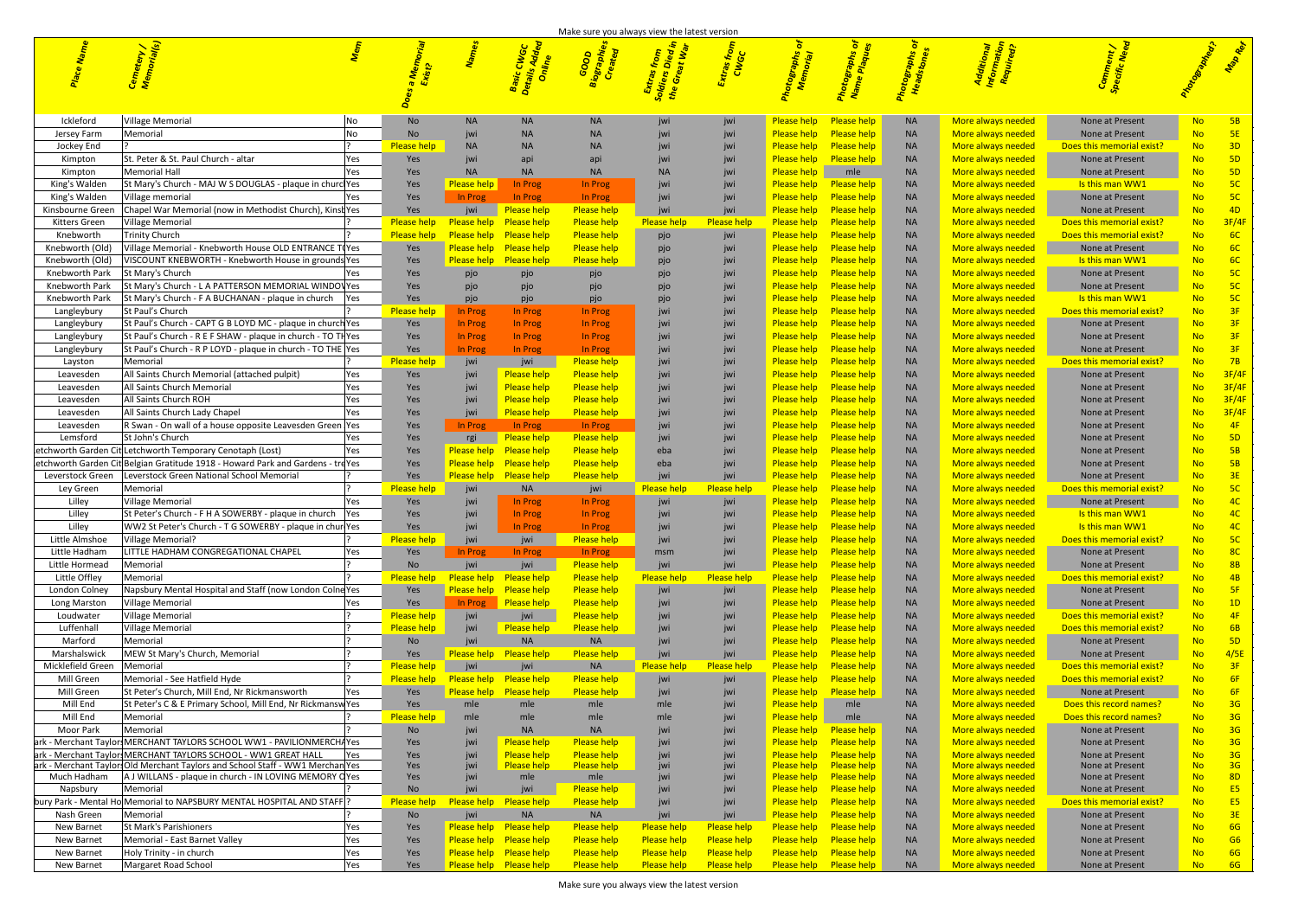| Make sure you always view the latest version |  |
|----------------------------------------------|--|
|                                              |  |

| Village Memoria<br>Ickleford                                                                                                                |                                       |                                                                                                                                                                                                                                                   |                                        |                         |                               |                                                                                                                                                  |                                                               | More always needed a state                                   | None at Present                                                     | i <mark>No 5B</mark>                                                                                                 |
|---------------------------------------------------------------------------------------------------------------------------------------------|---------------------------------------|---------------------------------------------------------------------------------------------------------------------------------------------------------------------------------------------------------------------------------------------------|----------------------------------------|-------------------------|-------------------------------|--------------------------------------------------------------------------------------------------------------------------------------------------|---------------------------------------------------------------|--------------------------------------------------------------|---------------------------------------------------------------------|----------------------------------------------------------------------------------------------------------------------|
| Jersey Farm<br>Memorial<br>Jockey End                                                                                                       | <b>Please help</b>                    |                                                                                                                                                                                                                                                   |                                        |                         |                               | e all'internationale della provincia di un proporta di un est all'anciene di un articologia di un anciene di u<br>l Please help l                | <b>Please help</b><br><b>NA</b><br><b>Please help</b><br>NA I | <b>More always needed</b><br>More always needed              | None at Present<br><b>Does this memorial exist?</b>                 | - No<br><u>5E</u><br>$-3D$<br>i No l                                                                                 |
| St. Peter & St. Paul Church - altar<br>Kimpton                                                                                              |                                       |                                                                                                                                                                                                                                                   |                                        |                         |                               | <u>la Please help l</u>                                                                                                                          | <b>Please help</b><br>i NA MA                                 | More always needed                                           | None at Present                                                     | $-5D$<br>- No                                                                                                        |
| Kimpton<br>Memorial Hall                                                                                                                    |                                       |                                                                                                                                                                                                                                                   |                                        |                         |                               | mle n<br><u>Please help l</u>                                                                                                                    |                                                               | More always needed                                           | None at Present                                                     |                                                                                                                      |
| St Mary's Church - MAJ W S DOUGLAS - plaque in churc Yes<br>King's Walden                                                                   | <b>Yes</b>                            | <b>Please help</b> In Prog                                                                                                                                                                                                                        | <b>In Prog</b>                         |                         |                               | <u>na Please help na Please help na s</u>                                                                                                        | NA NA                                                         | More always needed                                           | <u>Is this man WW1</u>                                              | $-5C$<br><b>No</b>                                                                                                   |
| King's Walden<br>Village memorial<br>Chapel War Memorial (now in Methodist Church), Kinst Yes<br>Kinsbourne Green                           | Yes<br><b>Yes</b>                     | Prog ו<br>– In Prog<br>Please help<br>jwi l                                                                                                                                                                                                       | <b>In Prog</b>                         |                         |                               | i Please help i Please help i i NA i I                                                                                                           |                                                               | More always needed<br>More always needed                     | None at Present<br>None at Present                                  | No l<br>No.                                                                                                          |
| Kitters Green<br>Village Memoria                                                                                                            |                                       | Please help Please help Please help                                                                                                                                                                                                               | <b>Please help</b>                     | <b>Please help</b>      | <u>Nease help</u>             | <b>Please help Please help</b>                                                                                                                   |                                                               | More always needed                                           | <b>Does this memorial exist?</b>                                    | No 3F/4F                                                                                                             |
| Knebworth<br>Frinity Church                                                                                                                 |                                       | Please help Please help Please help                                                                                                                                                                                                               |                                        |                         |                               | <u>n Please help Please help in </u>                                                                                                             |                                                               | More always needed                                           | <b>Does this memorial exist?</b>                                    | <u>in Not</u>                                                                                                        |
| Village Memorial - Knebworth House OLD ENTRANCE T(Yes<br>Knebworth (Old)                                                                    |                                       | <b>Example 19 Yes Please help</b>                                                                                                                                                                                                                 | <b>Please help</b>                     |                         |                               | <u>Please help Please help l</u>                                                                                                                 |                                                               | More always needed                                           | None at Present                                                     | - No                                                                                                                 |
| Knebworth (Old)   VISCOUNT KNEBWORTH - Knebworth House in grounds Yes                                                                       |                                       | Yes Please help Please help                                                                                                                                                                                                                       | <b>Please help</b>                     |                         |                               | a Please help Please help a l                                                                                                                    | <b>NA</b>                                                     | <b>More always needed</b>                                    | <u>. Is this man WW1</u>                                            | <b>No</b><br><b>6C</b>                                                                                               |
| Knebworth Park   St Mary's Church<br>Knebworth Park St Mary's Church - L A PATTERSON MEMORIAL WINDOVYes                                     |                                       |                                                                                                                                                                                                                                                   |                                        |                         |                               | <b>Please help Please help</b><br>Please help Please help                                                                                        | <b>NA</b><br>NA NA                                            | More always needed<br>More always needed                     | None at Present<br>None at Present                                  | $-5C$<br>- No -<br>$-5C$<br>No.                                                                                      |
| Knebworth Park St Mary's Church - F A BUCHANAN - plaque in church                                                                           | Yes                                   |                                                                                                                                                                                                                                                   |                                        |                         |                               | <mark>l Please help i Please help i l</mark> a NA l'III                                                                                          |                                                               | More always needed                                           | <u>Is this man WW1</u>                                              | <b>No</b><br>$-5C$                                                                                                   |
| St Paul's Church<br>Langleybury                                                                                                             | Please help In Prog                   | <b>In Prog</b>                                                                                                                                                                                                                                    | In Prog                                |                         |                               | Please help Please help                                                                                                                          | <b>NA</b>                                                     | More always needed                                           | Does this memorial exist?                                           | <u>na Norge S</u><br>$-3F$                                                                                           |
| St Paul's Church - CAPT G B LOYD MC - plaque in church Yes<br>Langleybury                                                                   | Yes l                                 | ּ Prog                                                                                                                                                                                                                                            | In Prog                                | iwi i                   |                               | <b>Please help Please help</b>                                                                                                                   | <b>NA</b>                                                     | More always needed                                           | None at Present                                                     | $\overline{\phantom{a}}$ 3F $\overline{\phantom{a}}$<br><b>No</b>                                                    |
| St Paul's Church - R E F SHAW - plaque in church - TO THYes<br>Langleybury                                                                  | Yes I                                 | Prog ו                                                                                                                                                                                                                                            | In Prog                                |                         |                               | Please help Please help T                                                                                                                        | NA I                                                          | More always needed                                           | None at Present                                                     | $\overline{\phantom{a}}$ 3F $\overline{\phantom{a}}$<br>- No                                                         |
| St Paul's Church - R P LOYD - plaque in church - TO THE Yes<br>Langleybury<br>Memorial                                                      | <b>Pres</b><br><b>Please help</b> jwi | Prog ו<br>In Prog<br>i jwi kata <mark>i</mark>                                                                                                                                                                                                    | <b>In Prog</b><br><u>Please help -</u> |                         |                               | <u>la Please help a Please help a g</u><br><u>na Please help na Please help na s</u>                                                             | NA NA<br>NA NA                                                | More always needed<br>More always needed                     | None at Present<br>Does this memorial exist?                        | $-3F$<br>$\overline{78}$<br>– No∴                                                                                    |
| Layston<br>All Saints Church Memorial (attached pulpit)<br>Leavesden                                                                        | Yes                                   | Please help                                                                                                                                                                                                                                       | <b>Please help</b>                     |                         |                               | e <mark>– Please help – Please help –</mark> Jo                                                                                                  | NA NA                                                         | More always needed                                           | None at Present                                                     | No 3F/4F                                                                                                             |
| All Saints Church Memoria<br>Leavesden                                                                                                      |                                       | Please help                                                                                                                                                                                                                                       | <b>Please help</b>                     |                         |                               | e <mark>– Please help – Please help –</mark> en NA – Please help                                                                                 |                                                               | More always needed                                           | None at Present                                                     | No 3F/4F                                                                                                             |
| All Saints Church ROH<br>Leavesden                                                                                                          |                                       | <b>Please help</b>                                                                                                                                                                                                                                | <b>Please help</b>                     |                         |                               | e <mark>– Please help – Please help –</mark> – NA – Please help                                                                                  |                                                               | <b>More always needer</b>                                    | None at Present                                                     | $No$ $3F/4F$                                                                                                         |
| All Saints Church Lady Chapel<br>Leavesden                                                                                                  |                                       | Please help<br>jwi l                                                                                                                                                                                                                              | <b>Please help</b>                     |                         |                               | <u>na Please help na Please help na s</u>                                                                                                        | NA NA                                                         | <b>More always needed</b>                                    | None at Present                                                     | No 3F/4F                                                                                                             |
| R Swan - On wall of a house opposite Leavesden Green Yes<br>Leavesden<br>St John's Church<br>Lemsford                                       | Yes                                   | n Prog<br>a ngi<br>Please help                                                                                                                                                                                                                    | <b>In Prog</b><br>Please help          |                         |                               | <u>la Please help a Please help a l</u><br><b>Please help Please help</b>                                                                        | NA NA                                                         | <b>More always needer</b><br><b>More always needed</b>       | None at Present<br>None at Present                                  | No 4F<br>No 5D                                                                                                       |
| etchworth Garden Cit Letchworth Temporary Cenotaph (Lost)                                                                                   |                                       | Yes Please help Please help                                                                                                                                                                                                                       | <b>Please help</b>                     |                         |                               | <b>Please help Please help</b>                                                                                                                   |                                                               | <b>More always neede</b>                                     | None at Present                                                     | $-5B$<br>No.                                                                                                         |
| letchworth Garden Cit Belgian Gratitude 1918 - Howard Park and Gardens - tre Yes                                                            |                                       | Yes Please help<br><b>Please help</b>                                                                                                                                                                                                             | <b>Please help</b>                     |                         |                               | Please help  Please help  Please                                                                                                                 |                                                               | <b>More always needed</b>                                    | None at Present                                                     | $-5B$<br>No.                                                                                                         |
| Leverstock Green   Leverstock Green National School Memorial                                                                                | Yes <mark>Please help</mark>          | <b>Please help</b>                                                                                                                                                                                                                                | <b>Please help</b>                     | iwi i                   |                               | Please help L                                                                                                                                    | <b>Please help</b>                                            | More always needed                                           | None at Present                                                     |                                                                                                                      |
| Ley Green<br>Memorial                                                                                                                       | Please help l                         |                                                                                                                                                                                                                                                   |                                        | <b>Please help</b>      | <b>Please help</b>            | <b>Please help</b>                                                                                                                               | <b>Please help</b><br>NA NA                                   | More always needed                                           | <b>Does this memorial exist?</b>                                    | <u>in Note</u>                                                                                                       |
| Village Memorial                                                                                                                            | Yes No                                |                                                                                                                                                                                                                                                   |                                        |                         |                               |                                                                                                                                                  | NA NA                                                         | <b>More always needed</b>                                    | None at Present                                                     | - No                                                                                                                 |
| St Peter's Church - F H A SOWERBY - plaque in church   Yes<br>Lilley<br>WW2 St Peter's Church - T G SOWERBY - plaque in churi Yes<br>Lilley | Yes<br><b>Example ST</b>              | jwi<br>n Prog<br>in the set of the set of the set of the set of the set of the set of the set of the set of the set of the set<br>In the set of the set of the set of the set of the set of the set of the set of the set of the set of the set o | In Prog                                | i iwi i<br><b>u</b> jwi | iwi l<br>i jwi <mark>F</mark> | realism in the Please help in the NA in the Please help in the NA in the Please help<br>Please help Please help NA                               |                                                               | More always needed<br>More always needed and the More always | <u>Is this man WW1</u><br><b>19 Is this man WW1</b>                 | in <mark>No. 14 A</mark> C in the AS<br><b>No</b>                                                                    |
| Little Almshoe   Village Memorial?                                                                                                          | <b>Please help</b>                    | jwi <b>w</b>                                                                                                                                                                                                                                      | Please help                            | iwi i                   |                               | <b>Please help Please help</b> NA                                                                                                                |                                                               | More always needed                                           | Does this memorial exist?                                           | <u>na Norge Norge S</u><br>$-5C$                                                                                     |
| Little Hadham   LITTLE HADHAM CONGREGATIONAL CHAPEL                                                                                         | <b>Example 1</b>                      | In Prog<br><b>In Prog</b>                                                                                                                                                                                                                         | <b>In Prog</b>                         | <b>n</b> msm            |                               |                                                                                                                                                  |                                                               | More always needed                                           | None at Present                                                     | No 8C                                                                                                                |
| Little Hormead   Memorial                                                                                                                   |                                       | i jwi kata <mark>i</mark><br>jwi                                                                                                                                                                                                                  | Please help                            | <b>iwi</b>              |                               | <mark>Please help Please help in NAT NAT I</mark>                                                                                                |                                                               | More always needed                                           | None at Present                                                     | $\overline{\text{BB}}$<br>- No                                                                                       |
| Little Offley<br> Memorial                                                                                                                  |                                       | Please help Please help Please help                                                                                                                                                                                                               | Please help                            | <b>Please help</b>      | <b>Please help</b>            | <b>Please help Please help</b> NA                                                                                                                |                                                               | More always needed                                           | <b>Does this memorial exist?</b>                                    | i <mark>No 4B</mark> 48                                                                                              |
| London Colney   Napsbury Mental Hospital and Staff (now London Colne Yes                                                                    | <b>Particular Property</b>            | The Please help Please help<br><b>In Prog</b> Please help                                                                                                                                                                                         | Please help<br>Please help             | <b>iwi</b>              |                               | jwi <mark>   Please help         Please help</mark> NA <mark>   Please help</mark><br>jwi <mark>Please help Please help</mark> NA <mark>l</mark> |                                                               | More always needed<br>More always needed and all             | None at Present<br>None at Present                                  | $-5F$<br><b>No</b><br>- No                                                                                           |
| Long Marston   Village Memorial<br>Loudwater<br>Village Memorial                                                                            | Please help iwi                       | i i jwi na <mark>j</mark>                                                                                                                                                                                                                         | <b>Please help</b>                     |                         |                               | <mark>Please help Please help in NAT NAT I</mark>                                                                                                |                                                               | More always needed                                           | <b>Does this memorial exist?</b>                                    | $\blacksquare$ 1D<br><u>na in Norge AF</u>                                                                           |
| Luffenhall<br>Village Memorial                                                                                                              |                                       | Please help jwi Please help Please help jwi                                                                                                                                                                                                       |                                        |                         |                               | <mark>Please help Please help in NAT NAT I</mark>                                                                                                |                                                               | More always needed                                           | <b>Does this memorial exist?</b>                                    | <u>No 6B B</u>                                                                                                       |
| Marford<br>Memorial                                                                                                                         |                                       | NA N                                                                                                                                                                                                                                              |                                        |                         |                               | <mark>Please help Please help NANNA</mark>                                                                                                       |                                                               | More always needed                                           | None at Present                                                     | No 5D                                                                                                                |
| MEW St Mary's Church, Memorial<br>Marshalswick                                                                                              |                                       | The Sealing Please help Please help                                                                                                                                                                                                               | <b>Please help</b>                     |                         |                               | <b>Example 2 Series Preference Preference Preference Preference Preference Preference Preference Preference Prefer</b>                           | NA NA                                                         | More always needed and a state                               | None at Present                                                     | $No$ 4/5E                                                                                                            |
| Micklefield Green<br>l Memorial<br>Memorial - See Hatfield Hyde<br>Mill Green                                                               | <mark>Please help</mark> jwi          | <b>Example 19 your part of the U.S. Part of the U.S. Part of the U.S. Part of the U.S. Part of the U.S.</b><br>Please help Please help Please help                                                                                                | <b>Please help</b>                     |                         | <b>Please help</b>            | Please help Please help<br>in the <mark>Please help the Please help</mark> the NA                                                                |                                                               | More always needed<br>More always needed                     | <b>Does this memorial exist?</b><br>Does this memorial exist? No 6F | a <mark>No 3F</mark>                                                                                                 |
| St Peter's Church, Mill End, Nr Rickmansworth<br>Mill Green                                                                                 |                                       | <b>Example 19 Sepany Property Sepany Property</b>                                                                                                                                                                                                 | Please help                            | <b>iwi</b>              |                               | <b>Example 2</b> Please help                                                                                                                     | <b>Please help</b><br><b>NA</b>                               |                                                              | More always needed <b>None at Present</b>                           | No l<br>$-6F$                                                                                                        |
| St Peter's C & E Primary School, Mill End, Nr Rickmansw Yes<br>Mill End                                                                     | Yes                                   |                                                                                                                                                                                                                                                   |                                        |                         |                               | <b>Please help</b> mle                                                                                                                           | <b>NA</b>                                                     | More always needed                                           | Does this record names? No 3G                                       |                                                                                                                      |
| Mill End<br>Memorial                                                                                                                        | <b>Please help</b>                    |                                                                                                                                                                                                                                                   |                                        |                         |                               | <b>Please help</b> mle                                                                                                                           |                                                               | More always needed                                           | Does this record names?                                             | <u>No and the SG and SG and SG and SG and SG and SG and SG and SG and SG and SG and SG and SG and SG and SG and </u> |
| Moor Park<br>Memorial                                                                                                                       |                                       |                                                                                                                                                                                                                                                   |                                        |                         |                               | <b>Example 2 Series Property Please help</b> and the Please help                                                                                 | <b>NA</b>                                                     | More always needed                                           | None at Present                                                     | No 3G                                                                                                                |
| ark - Merchant Taylors MERCHANT TAYLORS SCHOOL WW1 - PAVILIONMERCHAYes<br>ark - Merchant Taylors MERCHANT TAYLORS SCHOOL - WW1 GREAT HALL   | Yes                                   | jwi l<br><b>Please help</b>                                                                                                                                                                                                                       | <b>Please help</b>                     | iwi i                   |                               | <b>Example 2 Service Property Control</b> Prease help <b>Property</b> Prease help <b>Control</b> Press                                           |                                                               | More always needed                                           | None at Present                                                     | No 3G                                                                                                                |
| ark - Merchant Taylors Old Merchant Taylors and School Staff - WW1 Merchan Yes                                                              | Yes<br>Yes                            | $\blacksquare$ iwi<br>Please help<br>jwi l<br>lease help                                                                                                                                                                                          | <b>Please help</b><br>Please help      | <b>o</b> iwi<br>iwi i   |                               | <b>Example 2 Property Please help</b><br><b>Please help Please help</b> NA Please help                                                           | <b>NA</b>                                                     | More always needed<br>More always needed                     | None at Present<br>None at Present                                  | No 3G<br>$-36$                                                                                                       |
| Much Hadham $\begin{array}{ c c c c }\n\hline\n\end{array}$ A J WILLANS - plaque in church - IN LOVING MEMORY $\frac{1}{2}$ Yes             |                                       |                                                                                                                                                                                                                                                   |                                        |                         |                               | in <mark>Please help Please help</mark> in NA in <mark>Please help</mark>                                                                        |                                                               | More always needed                                           | None at Present                                                     | 8D<br>No.                                                                                                            |
| Napsbury<br>l Memorial                                                                                                                      |                                       |                                                                                                                                                                                                                                                   |                                        |                         |                               | <mark>Please help Please help</mark> NA NA                                                                                                       |                                                               | More always needed                                           | None at Present                                                     |                                                                                                                      |
| bury Park - Mental Ho Memorial to NAPSBURY MENTAL HOSPITAL AND STAFF                                                                        |                                       | Please help Please help Please help                                                                                                                                                                                                               | Please help                            | <b>iwi</b>              |                               | <mark>Please help Please help in NAT NAT I</mark>                                                                                                |                                                               | More always needed                                           | Does this memorial exist?                                           | in <mark>Note to E5</mark>                                                                                           |
| Nash Green<br>Memorial<br>St Mark's Parishioners<br>New Barnet                                                                              |                                       | Yes <b>Please help</b> Please help                                                                                                                                                                                                                |                                        |                         |                               | a <mark>Please help Please help</mark> RA NA Re<br><b>Example as a Please help</b> Please help Please help Please help NA                        |                                                               | More always needed<br>More always needed                     | None at Present<br>None at Present                                  | $\overline{\phantom{1}}$ 3E $\overline{\phantom{1}}$<br><b>No</b><br>No 6G                                           |
| Memorial - East Barnet Valley<br>New Barnet                                                                                                 |                                       | Yes <mark>Please help Please help</mark>                                                                                                                                                                                                          |                                        |                         |                               | a Please help and Please help elease help elease help elease help and a please help                                                              |                                                               | More always needed                                           | None at Present                                                     | $-66$<br>No.                                                                                                         |
| Holy Trinity - in church<br>New Barnet                                                                                                      |                                       | Nes <b>Please help Please help Please help Please help Please help Please help Please help</b> NA Please help                                                                                                                                     |                                        |                         |                               |                                                                                                                                                  |                                                               | More always needed                                           | None at Present                                                     | $-6G$                                                                                                                |
| New Barnet   Margaret Road School                                                                                                           |                                       | Yes Please help Please help Please help Please help Please help Please help Please help NA                                                                                                                                                        |                                        |                         |                               |                                                                                                                                                  |                                                               | More always needed                                           | None at Present                                                     |                                                                                                                      |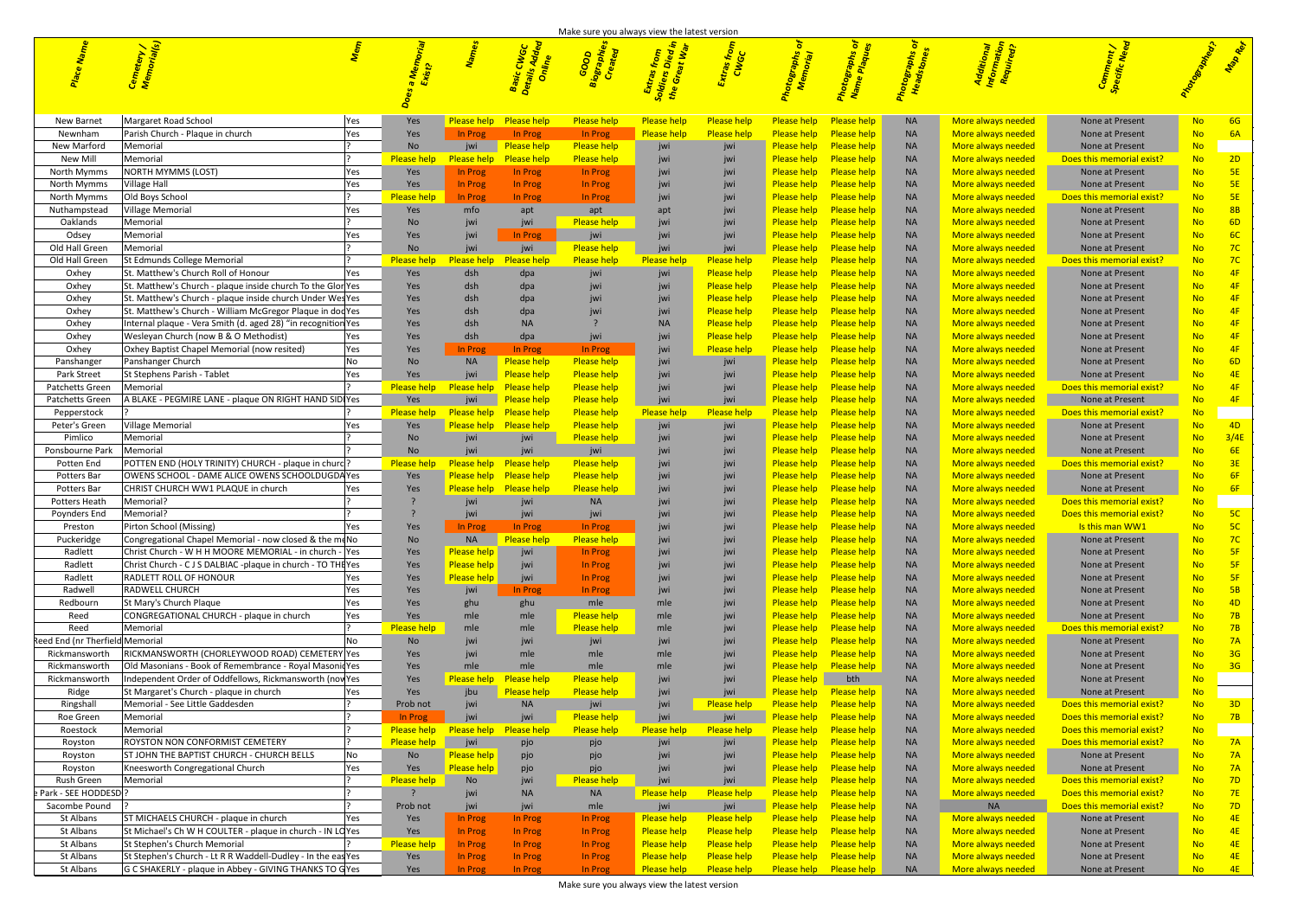| Additional<br>Information<br>Required? | Comment /<br>Paecific Need                             |                 |                 |
|----------------------------------------|--------------------------------------------------------|-----------------|-----------------|
|                                        |                                                        |                 |                 |
|                                        |                                                        |                 |                 |
|                                        |                                                        | Thorocal Banker |                 |
|                                        |                                                        |                 |                 |
| always needed                          | None at Present                                        | No              | 6G              |
| always needed                          | None at Present                                        | <b>No</b>       | 6A              |
| always needed                          | <b>None at Present</b>                                 | No              |                 |
| always needed                          | Does this memorial exist?                              | No              | 2D              |
| always needed<br>always needed         | None at Present<br>None at Present                     | <b>No</b><br>No | <b>5E</b><br>5E |
| always needed                          | Does this memorial exist?                              | No              | <b>5E</b>       |
| always needed                          | None at Present                                        | No              | 8B              |
| always needed                          | None at Present                                        | <b>No</b>       | 6 <sub>D</sub>  |
| always needed                          | None at Present                                        | No              | 6C              |
| always needed                          | <b>None at Present</b>                                 | No              | 7 <sup>C</sup>  |
| always needed                          | Does this memorial exist?                              | No              | 7 <sup>C</sup>  |
| always needed                          | None at Present                                        | <b>No</b>       | 4F              |
| always needed                          | None at Present                                        | No              | 4F              |
| always needed                          | None at Present                                        | No              | 4F              |
| always needed                          | None at Present                                        | <b>No</b>       | 4F              |
| always needed                          | None at Present                                        | <b>No</b>       | 4F              |
| always needed                          | None at Present                                        | <b>No</b>       | 4F              |
| always needed                          | None at Present                                        | No              | 4F              |
| always needed                          | None at Present                                        | No              | 6 <sub>D</sub>  |
| always needed                          | None at Present                                        | No              | 4E              |
| always needed                          | Does this memorial exist?                              | <b>No</b>       | 4F              |
| always needed                          | None at Present                                        | No              | 4F              |
| always needed                          | Does this memorial exist?                              | No              |                 |
| always needed                          | None at Present                                        | No              | 4D              |
| always needed                          | None at Present                                        | No              | 3/4E            |
| always needed                          | None at Present                                        | No              | 6E              |
| always needed                          | Does this memorial exist?<br>None at Present           | No              | 3E              |
| always needed<br>always needed         | None at Present                                        | No<br>No        | 6F<br>6F        |
| always needed                          | Does this memorial exist?                              | No              |                 |
| always needed                          | Does this memorial exist?                              | No              | 5C              |
| always needed                          | Is this man WW1                                        | <b>No</b>       | 5C              |
| always needed                          | None at Present                                        | No              | 7 <sub>C</sub>  |
| always needed                          | None at Present                                        | <b>No</b>       | 5F              |
| always needed                          | None at Present                                        | No              | 5F              |
| always needed                          | None at Present                                        | <b>No</b>       | 5F              |
| always needed                          | <b>None at Present</b>                                 | <b>No</b>       | 5B              |
| always needed                          | <b>None at Present</b>                                 | <b>No</b>       | 4D              |
| always needed                          | None at Present                                        | No              | 7B              |
| always needed                          | Does this memorial exist?                              | No              | 7B              |
| always needed                          | None at Present                                        | No              | <b>7A</b>       |
| always needed                          | None at Present                                        | <b>No</b>       | 3 <sub>G</sub>  |
| always needed                          | None at Present                                        | <b>No</b>       | 3G              |
| always needed                          | None at Present                                        | No              |                 |
| always needed                          | None at Present                                        | No              |                 |
| always needed                          | Does this memorial exist?                              | <b>No</b>       | 3D              |
| always needed                          | Does this memorial exist?                              | No              | 7B              |
| always needed                          | Does this memorial exist?                              | No              |                 |
| always needed                          | Does this memorial exist?                              | No              | 7A              |
| always needed                          | <b>None at Present</b>                                 | <b>No</b>       | 7A              |
| always needed                          | None at Present                                        | <b>No</b>       | 7A              |
| always needed                          | Does this memorial exist?                              | No              | 7D<br>7E        |
| always needed<br><b>NA</b>             | Does this memorial exist?<br>Does this memorial exist? | No<br><b>No</b> | 7D              |
|                                        | None at Present                                        | <b>No</b>       | 4E              |
| <u>always needed</u><br>always needed  | None at Present                                        | <b>No</b>       | 4E              |
| always needed                          | None at Present                                        | <b>No</b>       | 4E              |
| always needed                          | None at Present                                        | <b>No</b>       | 4E              |
| heheen zvraule                         | None at Present                                        | N <sub>0</sub>  | 4F              |

|                                      |                                                               |                    |                           |                                   |                                   | <sup>ttr</sup> as from<br><sup>liers Died in</sup><br>Great War | tras froi                 |                                   |                                          |                        |                                          |                                                        |                        |           |  |
|--------------------------------------|---------------------------------------------------------------|--------------------|---------------------------|-----------------------------------|-----------------------------------|-----------------------------------------------------------------|---------------------------|-----------------------------------|------------------------------------------|------------------------|------------------------------------------|--------------------------------------------------------|------------------------|-----------|--|
| New Barnet                           | Margaret Road School<br> Yes                                  | Yes                | Please help               | <b>Please help</b>                | <b>Please help</b>                | <b>Please help</b>                                              | <b>Please help</b>        | Please help                       | Please help                              | <b>NA</b>              | More always needed                       | None at Present                                        | No                     | $-6G$     |  |
| Newnham                              | Parish Church - Plaque in church<br>Yes                       | Yes                | In Prog                   | In Prog                           | In Prog                           | Please help                                                     | <b>Please help</b>        | <b>Please help</b>                | <b>Please help</b>                       | <b>NA</b>              | More always needed                       | None at Present                                        | <b>No</b>              | 6A        |  |
| New Marford                          | Memorial                                                      | No                 | jwi                       | <b>Please help</b>                | <b>Please help</b>                | jwi                                                             | jwi                       | Please help                       | <b>Please help</b>                       | <b>NA</b>              | More always needed                       | None at Present                                        |                        |           |  |
| New Mill                             | Memorial                                                      | <u>Please help</u> | Please help               | <b>Please help</b>                | <b>Please help</b>                | jwi                                                             | jwi                       | Please help                       | <b>Please help</b>                       | <b>NA</b>              | More always needed                       | Does this memorial exist?                              | <b>No</b>              | 2D        |  |
| North Mymms                          | <b>NORTH MYMMS (LOST)</b><br>Yes                              | Yes                | In Prog                   | In Prog                           | In Prog                           | jwi                                                             | jwi                       | Please help-                      | <b>Please help</b>                       | <b>NA</b>              | More always needed                       | None at Present                                        | <b>No</b>              | 5E        |  |
| North Mymms                          | <b>Village Hall</b><br>Yes                                    | Yes                | In Prog                   | In Prog                           | In Prog                           | jwi                                                             | jwi                       | Please help                       | <b>Please help</b>                       | <b>NA</b>              | More always needed                       | None at Present                                        | <b>No</b>              | 5E        |  |
| North Mymms                          | Old Boys School                                               | <b>Please help</b> | In Prog                   | In Prog                           | In Prog                           | jwi                                                             | jwi                       | Please help                       | <b>Please help</b>                       | <b>NA</b>              | More always needed                       | <u>Does this memorial exist?</u>                       | <b>No</b>              | 5E        |  |
| Nuthampstead                         | <b>Village Memorial</b><br>Yes                                | Yes                | mfo                       | apt                               | apt                               | apt                                                             | jwi                       | Please help                       | <b>Please help</b>                       | <b>NA</b>              | More always needed                       | None at Present                                        | <b>No</b>              | 8B        |  |
| Oaklands                             | Memorial                                                      | <b>No</b>          | jwi                       | jwi                               | <b>Please help</b>                | jwi                                                             | jwi                       | Please help-                      | <b>Please help</b>                       | <b>NA</b>              | More always needed                       | None at Present                                        | <b>No</b>              | 6D        |  |
| Odsey                                | Memorial<br>Yes                                               | Yes                | jw                        | In Prog                           | jwi                               | jwi                                                             | jwi                       | Please help-                      | <b>Please help</b>                       | <b>NA</b>              | More always needed                       | None at Present                                        | <b>No</b>              |           |  |
| Old Hall Green                       | Memorial                                                      | <b>No</b>          | jw                        | jwi                               | <u>Please help</u>                | jwi                                                             | jwi                       | Please help-                      | <b>Please help</b>                       | <b>NA</b>              | More always needed                       | None at Present                                        | <b>No</b>              |           |  |
| Old Hall Green                       | St Edmunds College Memorial                                   | <u>Please help</u> | lease help <sup>,</sup>   | lease help                        | <b>Please help</b>                | <b>Please hel</b>                                               | <b>Please help</b>        | Please help                       | <b>Please help</b>                       | <b>NA</b>              | More always needed                       | Does this memorial exist?                              | <b>No</b>              |           |  |
| Oxhey                                | St. Matthew's Church Roll of Honour                           | Yes                | dsh                       | dpa                               | jwi                               | jwi                                                             | <b>Please help</b>        | Please help                       | <b>Please help</b>                       | <b>NA</b>              | More always needed                       | None at Present                                        | <b>No</b>              |           |  |
| Oxhey                                | St. Matthew's Church - plaque inside church To the Glor Yes   | Yes                | dsh                       | dpa                               |                                   | jwi                                                             | <b>Please help</b>        | Please help                       | <b>Please help</b>                       | <b>NA</b>              | More always needed                       | None at Present                                        | <b>No</b>              |           |  |
| Oxhey                                | St. Matthew's Church - plaque inside church Under Wes Yes     | Yes                | dsh                       | dpa                               |                                   | jwi                                                             | <b>Please help</b>        | Please help                       | <b>Please help</b>                       | <b>NA</b>              | More always needed                       | None at Present                                        | <b>No</b>              |           |  |
| Oxhey                                | St. Matthew's Church - William McGregor Plaque in dod Yes     | Yes                | dsh                       | dpa                               |                                   | jwi                                                             | <b>Please help</b>        | Please help                       | <b>Please help</b>                       | <b>NA</b>              | More always needed                       | None at Present                                        | <b>No</b>              |           |  |
| Oxhey                                | Internal plaque - Vera Smith (d. aged 28) "in recognition Yes | Yes                | dsh                       | <b>NA</b>                         |                                   | <b>NA</b>                                                       | <b>Please help</b>        | Please help                       | <b>Please help</b>                       | <b>NA</b>              | More always needed                       | None at Present                                        | <b>No</b>              | 4F        |  |
| Oxhey                                | Wesleyan Church (now B & O Methodist)<br>Yes                  | Yes                | dsh                       | dpa                               | jwi                               | jwi                                                             | <b>Please help</b>        | <u>Please help</u>                | <b>Please help</b>                       | <b>NA</b>              | More always needed                       | None at Present                                        | <b>No</b>              | 4F        |  |
| Oxhey                                | Oxhey Baptist Chapel Memorial (now resited)<br>Yes            | Yes                | In Prog                   | In Prog                           | In Prog                           | jwi                                                             | <b>Please help</b>        | Please help                       | <b>Please help</b>                       | <b>NA</b>              | More always needed                       | None at Present                                        | <b>No</b>              |           |  |
| Panshanger                           | Panshanger Church<br>No                                       | No                 | <b>NA</b>                 | <b>Please help</b>                | Please help                       | jwi                                                             | jwi                       | Please help                       | <b>Please help</b>                       | <b>NA</b>              | More always needed                       | None at Present                                        | <b>No</b>              |           |  |
| <b>Park Street</b>                   | St Stephens Parish - Tablet<br>Yes                            | Yes                | jw                        | Please help                       | <b>Please help</b>                |                                                                 | jwi                       | Please help i                     | <b>Please help</b>                       | <b>NA</b>              | More always needed                       | None at Present                                        | <b>No</b><br><b>No</b> | 4F        |  |
| Patchetts Green                      | Memorial                                                      | Please help<br>Yes | <b>Please help</b><br>jwi | <b>Please help</b><br>Please help | Please help<br><b>Please help</b> | jwi<br>jwi                                                      | jwi                       | Please help<br>Please help        | <b>Please help</b>                       | <b>NA</b><br><b>NA</b> | More always needed                       | Does this memorial exist?                              | <b>No</b>              | 4F        |  |
| Patchetts Green                      | A BLAKE - PEGMIRE LANE - plaque ON RIGHT HAND SIDIYes         | <b>Please help</b> | <b>Please help</b>        | <b>Please help</b>                | Please help                       | <b>Please help</b>                                              | jwi<br><b>Please help</b> | Please help                       | <b>Please help</b><br><b>Please help</b> | <b>NA</b>              | More always needed<br>More always needed | None at Present<br>Does this memorial exist?           | <b>No</b>              |           |  |
| Pepperstock<br>Peter's Green         | <b>Village Memorial</b><br>Yes                                | Yes                | Please help               | <b>Please help</b>                | <b>Please help</b>                | jwi                                                             | jwi                       | Please help                       | <b>Please help</b>                       | <b>NA</b>              | More always needed                       | None at Present                                        | <b>No</b>              | 4D        |  |
| Pimlico                              | Memorial                                                      | <b>No</b>          | jw                        | jwi                               | <b>Please help</b>                | jwi                                                             | jwi                       | Please help                       | <b>Please help</b>                       | <b>NA</b>              | More always needed                       | None at Present                                        | <b>No</b>              | 3/4E      |  |
| Ponsbourne Park                      | Memorial                                                      | No                 | iw                        | jwi                               | jwi                               | iwi                                                             | jwi                       | Please help                       | <b>Please help</b>                       | <b>NA</b>              | More always needed                       | None at Present                                        | <b>No</b>              | 6E        |  |
| Potten End                           | POTTEN END (HOLY TRINITY) CHURCH - plaque in churc ?          | <b>Please help</b> | Please help               | <b>Please help</b>                | <b>Please help</b>                |                                                                 | jwi                       | Please help                       | <b>Please help</b>                       | <b>NA</b>              | More always needed                       | Does this memorial exist?                              | <b>No</b>              | 3E        |  |
| Potters Bar                          | OWENS SCHOOL - DAME ALICE OWENS SCHOOLDUGDAYes                | Yes                | Please help               | <b>Please help</b>                | <b>Please help</b>                | jwi                                                             | jwi                       | Please help                       | <b>Please help</b>                       | <b>NA</b>              | More always needed                       | None at Present                                        | <b>No</b>              | 6F        |  |
| Potters Bar                          | CHRIST CHURCH WW1 PLAQUE in church<br>Yes                     | Yes                | <b>Please help</b>        | <b>Please help</b>                | <b>Please help</b>                | jwi                                                             | jwi                       | Please help                       | <b>Please help</b>                       | <b>NA</b>              | More always needed                       | None at Present                                        | <b>No</b>              | 6F        |  |
| <b>Potters Heath</b>                 | Memorial?                                                     |                    | iw                        | jwi                               | <b>NA</b>                         |                                                                 | jwi                       | Please help                       | <b>Please help</b>                       | <b>NA</b>              | More always needed                       | Does this memorial exist?                              | <b>No</b>              |           |  |
| Poynders End                         | Memorial?                                                     |                    |                           | jwi                               | jwi                               |                                                                 | jwi                       | Please help -                     | <b>Please help</b>                       | <b>NA</b>              | <u>More always needed</u>                | Does this memorial exist?                              | <b>No</b>              | $-5C$     |  |
| Preston                              | Pirton School (Missing)<br>Yes                                | Yes                | In Prog                   | In Prog                           | In Prog                           |                                                                 | iwi                       |                                   | Please help - Please help-               | <b>NA</b>              | <u>More always needed</u>                | Is this man WW1                                        | N <sub>o</sub>         |           |  |
| Puckeridge                           | Congregational Chapel Memorial - now closed & the meNo        | <b>No</b>          | <b>NA</b>                 | <b>Please help</b>                | <b>Please help</b>                | jwi                                                             | jwi                       | Please help                       | <b>Please help</b>                       | <b>NA</b>              | More always needed                       | None at Present                                        | No                     | 7C        |  |
| Radlett                              | Christ Church - W H H MOORE MEMORIAL - in church - Yes        | Yes                | Please help               | jwi                               | In Prog                           | jwi                                                             | jwi                       | Please help                       | <b>Please help</b>                       | <b>NA</b>              | More always needed                       | None at Present                                        | <b>No</b>              | 5F        |  |
| Radlett                              | Christ Church - C J S DALBIAC -plaque in church - TO THEYes   | Yes                | Please help               | jwi                               | In Prog                           | jwi                                                             | jwi                       | Please help                       | <b>Please help</b>                       | <b>NA</b>              | More always needed                       | None at Present                                        | <b>No</b>              | 5F        |  |
| Radlett                              | RADLETT ROLL OF HONOUR<br>Yes                                 | Yes                | Please help               | jwi                               | In Prog                           | jwi                                                             | jwi                       | Please help                       | <b>Please help</b>                       | <b>NA</b>              | More always needed                       | None at Present                                        | <b>No</b>              | <b>5F</b> |  |
| Radwell                              | <b>RADWELL CHURCH</b><br>Yes                                  | Yes                | jwi                       | In Prog                           | In Prog                           | jwi                                                             | jwi                       | Please help                       | <b>Please help</b>                       | <b>NA</b>              | More always needed                       | None at Present                                        | <b>No</b>              |           |  |
| Redbourn                             | St Mary's Church Plaque<br>Yes                                | Yes                | ghu                       | ghu                               | mle                               | mle                                                             | jwi                       | Please help                       | <b>Please help</b>                       | <b>NA</b>              | More always needed                       | None at Present                                        | <b>No</b>              | 4D        |  |
| Reed                                 | CONGREGATIONAL CHURCH - plaque in church<br>Yes               | Yes                | mle                       | mle                               | <b>Please help</b>                | mle                                                             | jwi                       | Please help                       | <b>Please help</b>                       | <b>NA</b>              | More always needed                       | None at Present                                        | <b>No</b>              | 7B        |  |
| Reed                                 | Memorial                                                      | <b>Please help</b> | mle                       | mle                               | <b>Please help</b>                | mle                                                             | jwi                       | Please help                       | <b>Please help</b>                       | <b>NA</b>              | More always needed                       | Does this memorial exist?                              | <b>No</b>              | 7B        |  |
| Reed End (nr Therfield Memorial      | <b>No</b>                                                     | <b>No</b>          | jw                        | jwi                               | jwi                               | jwi                                                             | jwi                       | Please help                       | <b>Please help</b>                       | <b>NA</b>              | More always needed                       | None at Present                                        | <b>No</b>              | 7A        |  |
| Rickmansworth                        | RICKMANSWORTH (CHORLEYWOOD ROAD) CEMETERY Yes                 | Yes                | jw                        | mle                               | mle                               | mle                                                             | jwi                       | Please help                       | <b>Please help</b>                       | <b>NA</b>              | More always needed                       | None at Present                                        | <b>No</b>              | 3G        |  |
| Rickmansworth                        | Old Masonians - Book of Remembrance - Royal Masonid Yes       | Yes                | mle                       | mle                               | mle                               | mle                                                             | jwi                       | <b>Please help</b>                | <b>Please help</b>                       | <b>NA</b>              | More always needed                       | None at Present                                        | <b>No</b>              | 3G        |  |
| Rickmansworth                        | Independent Order of Oddfellows, Rickmansworth (now Yes       | Yes                | Please he                 | <mark>Please help</mark>          | <b>Please help</b>                | jwi                                                             | jwi                       | Please help bth                   |                                          | <b>NA</b>              | More always needed                       | None at Present                                        | <b>No</b>              |           |  |
| Ridge                                | St Margaret's Church - plaque in church<br>Yes                | Yes                | jbu                       | <b>Please help</b>                | Please help                       | jwi                                                             | jwi                       | Please help                       | <b>Please help</b>                       | <b>NA</b>              | More always needed                       | None at Present                                        | No                     |           |  |
| Ringshall                            | Memorial - See Little Gaddesden                               | Prob not           | jw                        | <b>NA</b>                         | jwi                               | jwi                                                             | <b>Please help</b>        | Please help                       | <b>Please help</b>                       | <b>NA</b>              | More always needed                       | Does this memorial exist?                              | <b>No</b>              | 3D        |  |
| Roe Green                            | Memorial                                                      | In Prog            | jwi                       | jwi                               | <b>Please help</b>                | jwi                                                             | jwi                       | Please help                       | <b>Please help</b>                       | <b>NA</b>              | More always needed                       | Does this memorial exist?                              | <b>No</b>              | 7B        |  |
| Roestock                             | Memorial                                                      | <b>Please help</b> | <b>Please help</b>        | <b>Please help</b>                | <b>Please help</b>                | <b>Please help</b>                                              | <b>Please help</b>        | Please help                       | <b>Please help</b>                       | <b>NA</b>              | More always needed                       | Does this memorial exist?                              | <b>No</b>              |           |  |
| Royston                              | ROYSTON NON CONFORMIST CEMETERY                               | <u>Please help</u> | jwi                       | pjo                               | pjo                               | jwi                                                             | jwi                       | Please help                       | <b>Please help</b>                       | <b>NA</b>              | More always needed                       | Does this memorial exist?                              | <b>No</b>              | 7A        |  |
| Royston                              | <b>ST JOHN THE BAPTIST CHURCH - CHURCH BELLS</b><br>No        | No                 | Please help               | pjo                               | pjo                               | jwi                                                             | jwi                       | Please help-                      | <b>Please help</b>                       | <b>NA</b>              | More always needed                       | None at Present                                        | <b>No</b>              | <b>7A</b> |  |
| Royston                              | Kneesworth Congregational Church<br>Yes                       | Yes                | <b>Please help</b>        | pjo                               | pjo                               | jwi                                                             | jwi                       | <u>Please help-</u>               | <b>Please help</b>                       | <b>NA</b>              | More always needed                       | None at Present                                        | <b>No</b>              |           |  |
| Rush Green<br>? Park - SEE HODDESD ? | Memorial                                                      | Please help        | No<br>iw                  | jwi                               | <b>Please hel</b><br><b>NA</b>    | jwi                                                             | jwi                       | Please help<br><b>Please help</b> | <b>Please help</b><br><b>Please help</b> | <b>NA</b>              | More always needed                       | Does this memorial exist?                              | <b>No</b><br><b>No</b> | 7D<br>7E  |  |
| Sacombe Pound                        |                                                               | Prob not           | iw                        | <b>NA</b>                         | mle                               | <b>Please help</b>                                              | <b>Please help</b><br>jwi | Please help                       | <b>Please help</b>                       | <b>NA</b><br><b>NA</b> | More always needed<br><b>NA</b>          | Does this memorial exist?<br>Does this memorial exist? | <b>No</b>              | 7D        |  |
| St Albans                            | ST MICHAELS CHURCH - plaque in church<br> Yes                 | Yes                | In Prog                   | jwi<br>In Prog                    | In Prog                           | jwi<br><b>Please help</b>                                       | <b>Please help</b>        | <b>Please help</b>                | <b>Please help</b>                       | <b>NA</b>              | More always needed                       | None at Present                                        | <b>No</b>              | 4E        |  |
| St Albans                            | St Michael's Ch W H COULTER - plaque in church - IN LOYes     | Yes                | In Prog                   | In Prog                           | <b>In Prog</b>                    | <b>Please help</b>                                              | <b>Please help</b>        | <b>Please help</b>                | <b>Please help</b>                       | <b>NA</b>              | More always needed                       | None at Present                                        | <b>No</b>              | 4E        |  |
| St Albans                            | St Stephen's Church Memorial                                  | <b>Please help</b> | <b>In Prog</b>            | In Prog                           | <b>In Prog</b>                    | <b>Please help</b>                                              | <b>Please help</b>        | <b>Please help</b>                | <b>Please help</b>                       | <b>NA</b>              | More always needed                       | None at Present                                        | <b>No</b>              | 4E        |  |
| St Albans                            | St Stephen's Church - Lt R R Waddell-Dudley - In the eas Yes  | Yes                | <b>In Prog</b>            | In Prog                           | In Prog                           | <b>Please help</b>                                              | <b>Please help</b>        |                                   | Please help Please help                  | <b>NA</b>              | More always needed                       | None at Present                                        | <b>No</b>              | 4E        |  |
| St Albans                            | G C SHAKERLY - plaque in Abbey - GIVING THANKS TO GYes        | Yes                | In Prog                   | In Prog                           | In Prog                           | <b>Please help</b>                                              | <b>Please help</b>        |                                   | Please help Please help                  | <b>NA</b>              | More always needed                       | None at Present                                        | <b>No</b>              | 4E        |  |
|                                      |                                                               |                    |                           |                                   |                                   |                                                                 |                           |                                   |                                          |                        |                                          |                                                        |                        |           |  |

<u>in the state</u>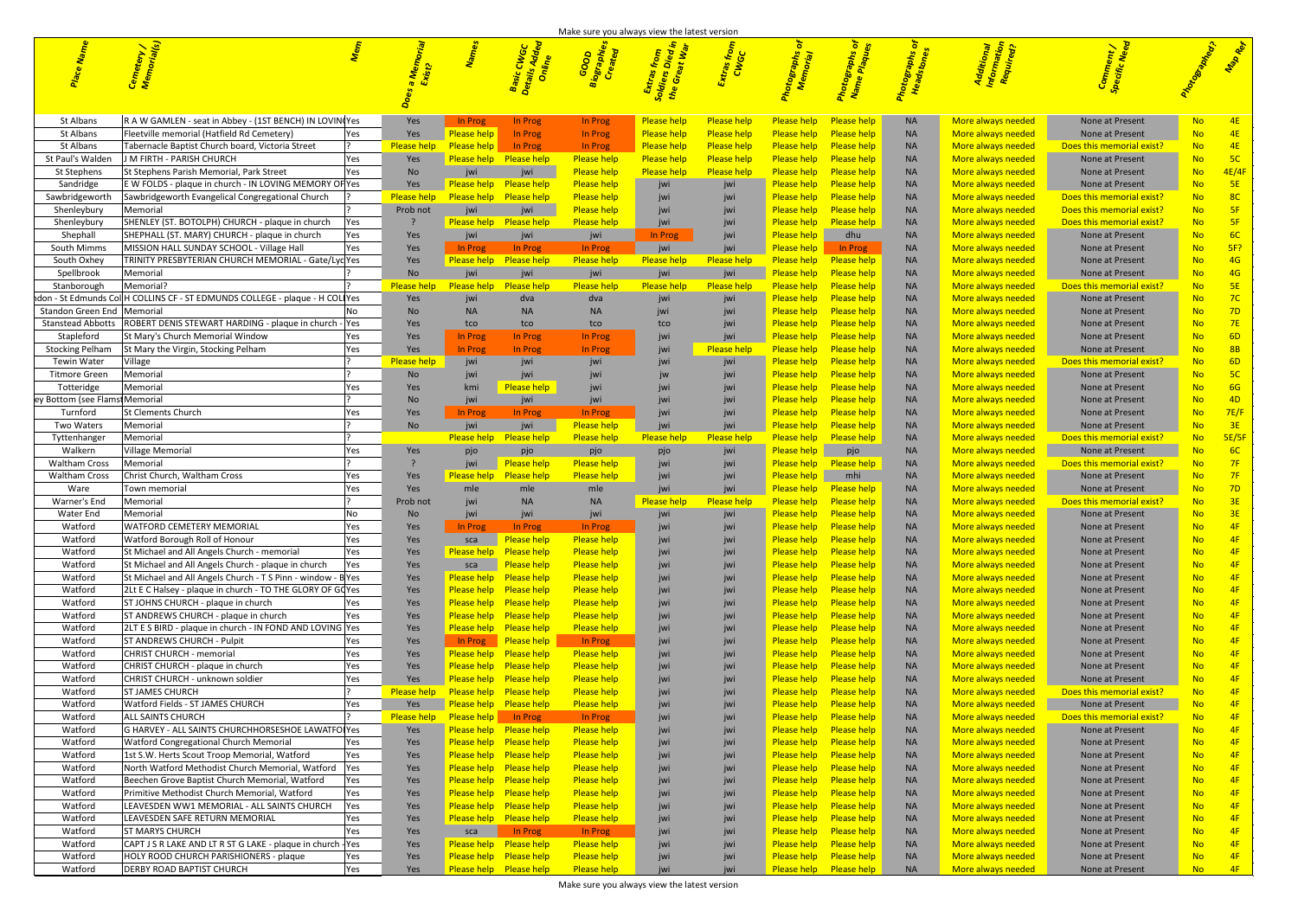| St Albans   R A W GAMLEN - seat in Abbey - (1ST BENCH) IN LOVIN(Yes                                                                    | was a <mark>in Proguesta America in Proguesia Please help Please help Please help Please help in America More always needed the Please help Please help Please help in America More always needed the Please help Please help Pleas</mark>                                   |                                                                                                                             |                                                                                                                                                                                                                                                                                                                                                    |                                            | <b>None at Present No. 4E</b>                                                                                                                                                                                                                                                                                                                               |                                                                                                                                                                                                                                                                                                                                                                                                                                                                                                                                                                                                                                                                                                                                                                                                          |
|----------------------------------------------------------------------------------------------------------------------------------------|------------------------------------------------------------------------------------------------------------------------------------------------------------------------------------------------------------------------------------------------------------------------------|-----------------------------------------------------------------------------------------------------------------------------|----------------------------------------------------------------------------------------------------------------------------------------------------------------------------------------------------------------------------------------------------------------------------------------------------------------------------------------------------|--------------------------------------------|-------------------------------------------------------------------------------------------------------------------------------------------------------------------------------------------------------------------------------------------------------------------------------------------------------------------------------------------------------------|----------------------------------------------------------------------------------------------------------------------------------------------------------------------------------------------------------------------------------------------------------------------------------------------------------------------------------------------------------------------------------------------------------------------------------------------------------------------------------------------------------------------------------------------------------------------------------------------------------------------------------------------------------------------------------------------------------------------------------------------------------------------------------------------------------|
| St Albans [Fleetville memorial (Hatfield Rd Cemetery)                                                                                  | Yes Please help In Prog in Prog Please help Please help Please help Please help NA More always needed None at Present No 4E<br>Please help Please help In Prog in Prog Please help Please help Please help Please help NA More always needed Does this memorial exist? No 4E |                                                                                                                             |                                                                                                                                                                                                                                                                                                                                                    |                                            |                                                                                                                                                                                                                                                                                                                                                             |                                                                                                                                                                                                                                                                                                                                                                                                                                                                                                                                                                                                                                                                                                                                                                                                          |
| St Albans   Tabernacle Baptist Church board, Victoria Street<br>St Paul's Walden   J M FIRTH - PARISH CHURCH                           | Nest the Please help Please help Please help Please help Please help Please help Please help NA More always needed                                                                                                                                                           |                                                                                                                             |                                                                                                                                                                                                                                                                                                                                                    |                                            | None at Present 1997 <b>No. 50</b>                                                                                                                                                                                                                                                                                                                          |                                                                                                                                                                                                                                                                                                                                                                                                                                                                                                                                                                                                                                                                                                                                                                                                          |
| St Stephens St Stephens Parish Memorial, Park Street                                                                                   | i No iwi iwi <mark>k</mark>                                                                                                                                                                                                                                                  |                                                                                                                             | Net always needed and the season of the season of the season of the season of the season of the season of the s                                                                                                                                                                                                                                    |                                            | None at Present                                                                                                                                                                                                                                                                                                                                             |                                                                                                                                                                                                                                                                                                                                                                                                                                                                                                                                                                                                                                                                                                                                                                                                          |
|                                                                                                                                        | Nes <mark>Please help Please help Please help</mark> i jwi i please help Please help NA More always needed                                                                                                                                                                   |                                                                                                                             |                                                                                                                                                                                                                                                                                                                                                    |                                            | None at Present the set                                                                                                                                                                                                                                                                                                                                     |                                                                                                                                                                                                                                                                                                                                                                                                                                                                                                                                                                                                                                                                                                                                                                                                          |
| Sawbridgeworth Sawbridgeworth Evangelical Congregational Church                                                                        | <mark>Please help  Please help  Please help   Please help  </mark> jwi                                                                                                                                                                                                       |                                                                                                                             |                                                                                                                                                                                                                                                                                                                                                    |                                            |                                                                                                                                                                                                                                                                                                                                                             |                                                                                                                                                                                                                                                                                                                                                                                                                                                                                                                                                                                                                                                                                                                                                                                                          |
| Shenleybury   Memorial<br>Shenleybury   SHENLEY (ST. BOTOLPH) CHURCH - plaque in church   Yes                                          | i Probinot i jwi i jwi <mark>k</mark><br>Please help Please help Please help iwi yii Please help Please help Nease help NA More always needed Does this memorial exist? No 5F                                                                                                | <mark>in Please help in</mark> the simulation of the simulation of the simulation of the simulation of the simulation of th |                                                                                                                                                                                                                                                                                                                                                    |                                            | jwi <mark>Please help Please help</mark> NA More always needed Does this memorial exist? No 5F                                                                                                                                                                                                                                                              |                                                                                                                                                                                                                                                                                                                                                                                                                                                                                                                                                                                                                                                                                                                                                                                                          |
| Shephall SHEPHALL (ST. MARY) CHURCH - plaque in church                                                                                 | Yes     jwi     jwi      jwi <mark>l In Prog and biwi    Please help</mark> ahu     NA    More always needed                                                                                                                                                                 |                                                                                                                             |                                                                                                                                                                                                                                                                                                                                                    |                                            | None at Present the <b>No. In the No. In the No. I</b>                                                                                                                                                                                                                                                                                                      |                                                                                                                                                                                                                                                                                                                                                                                                                                                                                                                                                                                                                                                                                                                                                                                                          |
| South Mimms   MISSION HALL SUNDAY SCHOOL - Village Hall                                                                                |                                                                                                                                                                                                                                                                              |                                                                                                                             | i jwi i jwi <mark>Please help in Proglam</mark> NA kata                                                                                                                                                                                                                                                                                            | More always needed <b>the set of the S</b> | None at Present                                                                                                                                                                                                                                                                                                                                             | No. 5F? I                                                                                                                                                                                                                                                                                                                                                                                                                                                                                                                                                                                                                                                                                                                                                                                                |
| South Oxhey   TRINITY PRESBYTERIAN CHURCH MEMORIAL - Gate/LyclYes                                                                      | Yes Please help Please help Please help Please help Please help Please help Please help NA More always needed                                                                                                                                                                |                                                                                                                             |                                                                                                                                                                                                                                                                                                                                                    |                                            | None at Present                                                                                                                                                                                                                                                                                                                                             |                                                                                                                                                                                                                                                                                                                                                                                                                                                                                                                                                                                                                                                                                                                                                                                                          |
| Spellbrook Memorial                                                                                                                    | a No in jwi i jwi i jwi i jwi i jwi <mark>Please help Please help</mark> NA <mark>More always needed i</mark>                                                                                                                                                                |                                                                                                                             |                                                                                                                                                                                                                                                                                                                                                    |                                            | None at Present                                                                                                                                                                                                                                                                                                                                             |                                                                                                                                                                                                                                                                                                                                                                                                                                                                                                                                                                                                                                                                                                                                                                                                          |
| Stanborough   Memorial?<br>ndon - St Edmunds CollH COLLINS CF - ST EDMUNDS COLLEGE - plaque - H COLlYes                                | Please help Please help Please help Please help Please help Please help Please help Please help NA More always needed<br>Yes jwi                                                                                                                                             |                                                                                                                             |                                                                                                                                                                                                                                                                                                                                                    |                                            | <b>Does this memorial exist?</b><br>None at Present                                                                                                                                                                                                                                                                                                         |                                                                                                                                                                                                                                                                                                                                                                                                                                                                                                                                                                                                                                                                                                                                                                                                          |
| Standon Green End   Memorial                                                                                                           |                                                                                                                                                                                                                                                                              | iwi kata i                                                                                                                  | a iwi <mark>Please help Please help</mark> NA <mark>More always needed i</mark>                                                                                                                                                                                                                                                                    |                                            | None at Present                                                                                                                                                                                                                                                                                                                                             |                                                                                                                                                                                                                                                                                                                                                                                                                                                                                                                                                                                                                                                                                                                                                                                                          |
| Stanstead Abbotts   ROBERT DENIS STEWART HARDING - plaque in church -   Yes                                                            | er and the text of the text of the text of the text of the text of the text of the text of the text of the tex<br>and the top of the top of the state of the state of the state of the state of the state of the state of the st                                             | and tool and tool and tool and                                                                                              | <u>iwi beth please help please help and all more always needed</u>                                                                                                                                                                                                                                                                                 |                                            | None at Present                                                                                                                                                                                                                                                                                                                                             |                                                                                                                                                                                                                                                                                                                                                                                                                                                                                                                                                                                                                                                                                                                                                                                                          |
| Stapleford   St Mary's Church Memorial Window                                                                                          | <b>Example 12 Series Series Series Series Series Series Series Series Series Series Series Series Series Series</b>                                                                                                                                                          | <b>In Prog</b> jwi                                                                                                          |                                                                                                                                                                                                                                                                                                                                                    |                                            | None at Present                                                                                                                                                                                                                                                                                                                                             |                                                                                                                                                                                                                                                                                                                                                                                                                                                                                                                                                                                                                                                                                                                                                                                                          |
| Stocking Pelham St Mary the Virgin, Stocking Pelham                                                                                    | a Mesa <mark>In Progation Progation Prog</mark> ation Progation Prog                                                                                                                                                                                                         |                                                                                                                             | a imin'ny departemantan'i Please indrindra dia 4 metatra. Ny faritr'i Normandiese ao indrindra dia 19 metatra.                                                                                                                                                                                                                                     |                                            | None at Present                                                                                                                                                                                                                                                                                                                                             |                                                                                                                                                                                                                                                                                                                                                                                                                                                                                                                                                                                                                                                                                                                                                                                                          |
| Tewin Water   Village<br>Titmore Green   Memorial                                                                                      | <mark>/ Please help  </mark> jwi   jwi   jwi  <br>i No i jiwi i jiwi na jiwi na jiwi na jiwi na jiwi na jiwi na jiwi na jiwi na jiwi na jiwi na jiwi na jiwi na                                                                                                              | and the state of the state of the state of the state of the state of the state of the state of the state of th              | jwi <mark>   Please help           Please help                  More always needed</mark>                                                                                                                                                                                                                                                          |                                            | jwi ji jwi jwi <mark>Please help Please help</mark> NA <mark>More always needed Does this memorial exist? No 6D  </mark><br>None at Present 1997 <b>No. 50</b>                                                                                                                                                                                              |                                                                                                                                                                                                                                                                                                                                                                                                                                                                                                                                                                                                                                                                                                                                                                                                          |
| Totteridge Memorial                                                                                                                    | window of the search of the search of the search of the search of the search of the search of the search of the<br>The search of the search of the search of the search of the search of the search of the search of the search o                                            |                                                                                                                             |                                                                                                                                                                                                                                                                                                                                                    |                                            | None at Present <b>None and Present</b><br>No 6G I                                                                                                                                                                                                                                                                                                          |                                                                                                                                                                                                                                                                                                                                                                                                                                                                                                                                                                                                                                                                                                                                                                                                          |
| ey Bottom (see Flamst Memoria                                                                                                          | . No jwi jwi jwi jwi jwi                                                                                                                                                                                                                                                     |                                                                                                                             | in the same of the same of the same of the same of the same of the same of the same of the same of the same of                                                                                                                                                                                                                                     |                                            | None at Present                                                                                                                                                                                                                                                                                                                                             |                                                                                                                                                                                                                                                                                                                                                                                                                                                                                                                                                                                                                                                                                                                                                                                                          |
| Turnford St Clements Churo                                                                                                             | <b>Property</b> Property Property Service Service Service Service Service Service Service Service Service Service Service Service Service Service Service Service Service Service Service Service Service Service Service Service S                                          | <u>in the set of the set of the set of the set of the set of the set of the set of the set of the set of the set o</u>      | iwi <mark>   Please help         Please help                 MA              More always needed</mark>                                                                                                                                                                                                                                             |                                            | None at Present                                                                                                                                                                                                                                                                                                                                             |                                                                                                                                                                                                                                                                                                                                                                                                                                                                                                                                                                                                                                                                                                                                                                                                          |
| Two Waters Memorial                                                                                                                    | i No jwi jwi <mark>N</mark>                                                                                                                                                                                                                                                  | i <mark>Please help i</mark> n the film of the film of the film of the film of the film of the film of the film of the film | i iwi i <mark>Please help Please help i</mark> NA i More always needed in the state of the Please help                                                                                                                                                                                                                                             |                                            | None at Present<br>Please help Please help Please help Please help Please help Please help Please help NA More always needed Does this memorial exist? No 5E/5F                                                                                                                                                                                             |                                                                                                                                                                                                                                                                                                                                                                                                                                                                                                                                                                                                                                                                                                                                                                                                          |
| Tyttenhanger Memorial<br>Walkern   Village Memori                                                                                      | e i yes i pjo i pjo i pjo                                                                                                                                                                                                                                                    | при приводите при приводите на приема в различното на приема в различното на приема в различното на приема при              |                                                                                                                                                                                                                                                                                                                                                    |                                            |                                                                                                                                                                                                                                                                                                                                                             |                                                                                                                                                                                                                                                                                                                                                                                                                                                                                                                                                                                                                                                                                                                                                                                                          |
| Waltham Cross   Memorial                                                                                                               |                                                                                                                                                                                                                                                                              |                                                                                                                             |                                                                                                                                                                                                                                                                                                                                                    |                                            | jwi Please-help Please-help iwi iwi Please-help-Please-help NA More-always-needed Does-this-memorial-exist? No 7F                                                                                                                                                                                                                                           |                                                                                                                                                                                                                                                                                                                                                                                                                                                                                                                                                                                                                                                                                                                                                                                                          |
| Waltham Cross   Christ Church, Waltham Cros                                                                                            | Yes <mark>Please help Please help Please help</mark> jwi bu please help mhi - NA More always needed                                                                                                                                                                          |                                                                                                                             |                                                                                                                                                                                                                                                                                                                                                    |                                            | None at Present the set                                                                                                                                                                                                                                                                                                                                     |                                                                                                                                                                                                                                                                                                                                                                                                                                                                                                                                                                                                                                                                                                                                                                                                          |
| Ware   Town memorial                                                                                                                   | Yes mle mle                                                                                                                                                                                                                                                                  |                                                                                                                             |                                                                                                                                                                                                                                                                                                                                                    |                                            | None at Present                                                                                                                                                                                                                                                                                                                                             |                                                                                                                                                                                                                                                                                                                                                                                                                                                                                                                                                                                                                                                                                                                                                                                                          |
| Warner's End Memorial<br>Water End   Memorial                                                                                          |                                                                                                                                                                                                                                                                              |                                                                                                                             |                                                                                                                                                                                                                                                                                                                                                    |                                            | NA <mark>Please help Please help Please help Please help</mark> NA More always needed Does this memorial exist? No 3E  <br>i in the second term of the second term of the second term of the second term of the second term of the second<br>In the second term of the second term of the second term of the second term of the second term of the second t |                                                                                                                                                                                                                                                                                                                                                                                                                                                                                                                                                                                                                                                                                                                                                                                                          |
| Watford WATFORD CEMETERY MEMORIAL                                                                                                      | in the Manager Manager of the Manager of the Manager of the Manager of the Manager of the Manager of the Manag                                                                                                                                                               |                                                                                                                             | and a similar term in the present of the sea below the sea below the present of the present of the present of t                                                                                                                                                                                                                                    |                                            |                                                                                                                                                                                                                                                                                                                                                             |                                                                                                                                                                                                                                                                                                                                                                                                                                                                                                                                                                                                                                                                                                                                                                                                          |
| Watford<br>Watford Borough Roll of Honour                                                                                              | la a sea <mark>Please help Please help i</mark> wi jwi                                                                                                                                                                                                                       |                                                                                                                             | and the same of the same term in the search of the search of the search of the search of the search of the sear<br>In the search of the search of the search of the search of the search of the search of the search of the searc                                                                                                                  |                                            | None at Present                                                                                                                                                                                                                                                                                                                                             | $\overline{4F}$                                                                                                                                                                                                                                                                                                                                                                                                                                                                                                                                                                                                                                                                                                                                                                                          |
| Watford St Michael and All Angels Church - memorial                                                                                    | n Mesa <mark>Please help Please help Dease help b</mark> iwi                                                                                                                                                                                                                 |                                                                                                                             | and the same of the same term in the search of the search of the search of the search of the search of the search of the search of the search of the search of the search of the search of the search of the search of the sea                                                                                                                     |                                            | None at Present                                                                                                                                                                                                                                                                                                                                             | $\sqrt{4F}$                                                                                                                                                                                                                                                                                                                                                                                                                                                                                                                                                                                                                                                                                                                                                                                              |
| St Michael and All Angels Church - plaque in church<br>Watford<br>Watford St Michael and All Angels Church - T S Pinn - window - B Yes | l Mesa i Sca <mark>Please help Please help</mark> iwi i ywi<br>Yes <mark>Please help Please help Please help i</mark> wi                                                                                                                                                     |                                                                                                                             | and the same of the search of the search of the search of the search of the search of the search of the search<br>and the same of the same term in the season of the season in the season in the season in the season in the sea<br>In the season in the season in the season in the season in the season in the season in the season in the seaso |                                            | None at Present<br>None at Present                                                                                                                                                                                                                                                                                                                          | $\overline{AB}$ and $\overline{AB}$ and $\overline{AB}$ are $\overline{AB}$ and $\overline{AB}$ are $\overline{AB}$ and $\overline{AB}$ are $\overline{AB}$ and $\overline{AB}$ are $\overline{AB}$ and $\overline{AB}$ are $\overline{AB}$ and $\overline{BA}$ and $\overline{BA}$ are $\overline{AB}$ and $\overline{BA}$ and $\overline{BA}$ and<br>$\overline{a}$ and $\overline{a}$ and $\overline{a}$                                                                                                                                                                                                                                                                                                                                                                                              |
| Watford<br>2Lt E C Halsey - plaque in church - TO THE GLORY OF GOYes                                                                   | Yes <mark>Please help Please help Please help</mark> iwi                                                                                                                                                                                                                     |                                                                                                                             | iwi <mark>Please help Please help  NA More always needed</mark>                                                                                                                                                                                                                                                                                    |                                            | None at Present                                                                                                                                                                                                                                                                                                                                             | $\overline{AB}$ and $\overline{AB}$ and $\overline{AB}$ and $\overline{AB}$ and $\overline{AB}$ and $\overline{AB}$ and $\overline{AB}$ and $\overline{AB}$ and $\overline{AB}$ and $\overline{BA}$ and $\overline{BA}$ and $\overline{BA}$ and $\overline{BA}$ and $\overline{BA}$ and $\overline{BA}$ and $\overline{BA}$ and $\overline{BA}$ and                                                                                                                                                                                                                                                                                                                                                                                                                                                      |
| Watford   ST JOHNS CHURCH - plaque in church                                                                                           | Yes <mark>Please help Please help Please help</mark> jwi                                                                                                                                                                                                                     |                                                                                                                             | jwi <mark>   Please help         Please help             NA                More always needed</mark>                                                                                                                                                                                                                                               |                                            | None at Present                                                                                                                                                                                                                                                                                                                                             | $\overline{AB}$ and $\overline{AB}$ and $\overline{AB}$ are $\overline{AB}$ and $\overline{AB}$ are $\overline{AB}$ and $\overline{AB}$ are $\overline{AB}$ and $\overline{AB}$ are $\overline{AB}$ and $\overline{AB}$ are $\overline{AB}$ and $\overline{AB}$ are $\overline{AB}$ and $\overline{BC}$ and $\overline{BC}$ are $\overline{BC}$ and                                                                                                                                                                                                                                                                                                                                                                                                                                                      |
| Watford   ST ANDREWS CHURCH - plaque in church                                                                                         | light in the Please help in the Please help in the Sea in the Please help in the Please help                                                                                                                                                                                 |                                                                                                                             |                                                                                                                                                                                                                                                                                                                                                    |                                            | None at Present                                                                                                                                                                                                                                                                                                                                             | $\overline{AB}$ and $\overline{AB}$ and $\overline{AB}$ and $\overline{AB}$ and $\overline{AB}$ and $\overline{AB}$ and $\overline{AB}$ and $\overline{AB}$ and $\overline{AB}$ and $\overline{BA}$ and $\overline{BA}$ and $\overline{BA}$ and $\overline{BA}$ and $\overline{BA}$ and $\overline{BA}$ and $\overline{BA}$ and $\overline{BA}$ and                                                                                                                                                                                                                                                                                                                                                                                                                                                      |
| 2LT E S BIRD - plaque in church - IN FOND AND LOVING Yes<br>Watford<br>Watford<br>ST ANDREWS CHURCH - Pulpit                           | <b>Example 3 Series Series Series Series Series Series Series Series Series Series Series Series Series Series S</b>                                                                                                                                                         |                                                                                                                             | jwi <mark>   Please help         Please help                  MA              More always needed</mark><br>jwi <mark>   Please help         Please help                  MA              More always needed</mark>                                                                                                                                 |                                            | None at Present<br>None at Present                                                                                                                                                                                                                                                                                                                          | $\overline{AB}$ and $\overline{AB}$ and $\overline{AB}$ and $\overline{AB}$ and $\overline{AB}$ and $\overline{AB}$ and $\overline{AB}$ and $\overline{AB}$ and $\overline{AB}$ and $\overline{BA}$ and $\overline{BA}$ and $\overline{BA}$ and $\overline{BA}$ and $\overline{BA}$ and $\overline{BA}$ and $\overline{BA}$ and $\overline{BA}$ and<br>$\begin{array}{ c c c c c }\n\hline\n\text{AB} & \text{AB} & \text{AB} & \text{AB} & \text{AB} & \text{AB} & \text{AB} & \text{AB} & \text{AB} & \text{AB} & \text{AB} & \text{AB} & \text{AB} & \text{AB} & \text{AB} & \text{AB} & \text{AB} & \text{AB} & \text{AB} & \text{AB} & \text{AB} & \text{AB} & \text{AB} & \text{AB} & \text{AB} & \text{AB} & \text{AB} & \text{AB} & \text{AB} & \text{AB} & \text{AB} & \text{AB} & \text{AB} &$ |
| Watford<br><b>CHRIST CHURCH - memorial</b>                                                                                             | Yes <mark>Please help Please help Please help i</mark> wi                                                                                                                                                                                                                    | <b>u jwi</b>                                                                                                                | jwi <mark>Please help Please help NA More always needed</mark>                                                                                                                                                                                                                                                                                     |                                            | None at Present                                                                                                                                                                                                                                                                                                                                             | $\overline{AB}$ and $\overline{AB}$ and $\overline{AB}$ and $\overline{AB}$ and $\overline{AB}$ and $\overline{AB}$ and $\overline{AB}$ and $\overline{AB}$ and $\overline{AB}$ and $\overline{AB}$ and $\overline{AB}$ and $\overline{AB}$ and $\overline{BA}$ and $\overline{BA}$ and $\overline{BA}$ and $\overline{BA}$ and $\overline{BA}$ and                                                                                                                                                                                                                                                                                                                                                                                                                                                      |
| CHRIST CHURCH - plaque in church<br>Watford                                                                                            | e Maria <mark>Please help Please help MPlease help i</mark> n Jiwi                                                                                                                                                                                                           |                                                                                                                             | iwi <mark>Please help Please help in NA in More always needed i</mark> n                                                                                                                                                                                                                                                                           |                                            | None at Present                                                                                                                                                                                                                                                                                                                                             | <mark>o 4F</mark>                                                                                                                                                                                                                                                                                                                                                                                                                                                                                                                                                                                                                                                                                                                                                                                        |
| Watford<br>CHRIST CHURCH - unknown soldier                                                                                             | e Maria <mark>Please help Please help - Please help -</mark> Please help - Please help - Please help                                                                                                                                                                         |                                                                                                                             | jwi <mark>   Please help            Please help                                    More always needed      </mark>                                                                                                                                                                                                                                 |                                            | None at Present                                                                                                                                                                                                                                                                                                                                             |                                                                                                                                                                                                                                                                                                                                                                                                                                                                                                                                                                                                                                                                                                                                                                                                          |
| Watford ST JAMES CHURCH<br>Watford   Watford Fields - ST JAMES CHURCH                                                                  | <b>Please help Please help Please help Please help</b> jwi<br>n Maria <mark>Please help Please help Please help</mark> iwi                                                                                                                                                   |                                                                                                                             | iwi <mark>Please help      Please help            NA             More always needed                       </mark>                                                                                                                                                                                                                                  |                                            | in the threase help Please help <b>NATT More always needed</b> Does this memorial exist? Not AFT<br>None at Present                                                                                                                                                                                                                                         |                                                                                                                                                                                                                                                                                                                                                                                                                                                                                                                                                                                                                                                                                                                                                                                                          |
| Watford   ALL SAINTS CHURCH                                                                                                            | <b>Please help Please help</b> In Prog and In Prog                                                                                                                                                                                                                           | in the set of the set of the set of the set of the set of the set of the set of the set of the set of the set o             |                                                                                                                                                                                                                                                                                                                                                    |                                            | in the theory of the process of the set of the set of the set of the set of the set of the set of the set of t<br>In the set of the set of the set of the set of the set of the set of the set of the set of the set of the set                                                                                                                             |                                                                                                                                                                                                                                                                                                                                                                                                                                                                                                                                                                                                                                                                                                                                                                                                          |
| G HARVEY - ALL SAINTS CHURCHHORSESHOE LAWATFOIYes<br>Watford                                                                           | <b>Example 19 September 2016</b> Please help and separate terms in the separate terms in the separate terms in the sep                                                                                                                                                       |                                                                                                                             | and the same of the present of the sense of the sense of the sense of the sense of the sense of the sense of t<br>Sense of the sense of the sense of the sense of the sense of the sense of the sense of the sense of the sense o                                                                                                                  |                                            | None at Present                                                                                                                                                                                                                                                                                                                                             |                                                                                                                                                                                                                                                                                                                                                                                                                                                                                                                                                                                                                                                                                                                                                                                                          |
| Watford   Watford Congregational Church Memorial                                                                                       | <b>Example 19 Separat Property Conservance Property</b> Press Press Press Press Press Press Press Press Press Press P                                                                                                                                                        |                                                                                                                             | a jwia a <mark>Please help Please help a NA More always needed</mark>                                                                                                                                                                                                                                                                              |                                            | None at Present                                                                                                                                                                                                                                                                                                                                             | No 4F                                                                                                                                                                                                                                                                                                                                                                                                                                                                                                                                                                                                                                                                                                                                                                                                    |
| Watford 1st S.W. Herts Scout Troop Memorial, Watford                                                                                   | <b>Example 19 Series Please help</b> Please help in the please help                                                                                                                                                                                                          |                                                                                                                             | and the same of the search of the search of the search of the search of the search of the search of the search                                                                                                                                                                                                                                     |                                            | None at Present                                                                                                                                                                                                                                                                                                                                             | $\sqrt{1 - 4F}$                                                                                                                                                                                                                                                                                                                                                                                                                                                                                                                                                                                                                                                                                                                                                                                          |
| Watford   North Watford Methodist Church Memorial, Watford   Yes<br>Watford Beechen Grove Baptist Church Memorial, Watford             | n Mesa <mark>Please help Please help Please help i</mark> y ji ji ji ku<br>e Maria <mark>Please help Please help Please help i</mark> pri                                                                                                                                    |                                                                                                                             | and the same of the present of the sense of the sense of the sense of the sense of the sense of the sense of t<br>Sense of the sense of the sense of the sense of the sense of the sense of the sense of the sense of the sense o<br>a jwiana <mark>Please help Please help</mark> NA <mark>More always needed t</mark>                            |                                            | None at Present<br>None at Present                                                                                                                                                                                                                                                                                                                          | $\overline{AB}$ and $\overline{AB}$ and $\overline{AB}$ and $\overline{AB}$ and $\overline{AB}$ and $\overline{AB}$ and $\overline{AB}$ and $\overline{AB}$ and $\overline{AB}$ and $\overline{AB}$ and $\overline{AB}$ and $\overline{AB}$ and $\overline{AB}$ and $\overline{BC}$ and $\overline{BC}$ and $\overline{BC}$ and $\overline{BC}$ and<br>$\overline{AB}$ and $\overline{AB}$ and $\overline{AB}$ are $\overline{AB}$ and $\overline{AB}$ are $\overline{AB}$ and $\overline{AB}$ are $\overline{AB}$ and $\overline{AB}$ are $\overline{AB}$ and $\overline{AB}$ are $\overline{AB}$ and $\overline{AB}$ are $\overline{AB}$ and $\overline{BC}$ and $\overline{BC}$ are $\overline{BC}$ and                                                                                               |
| Primitive Methodist Church Memorial, Watford<br>Watford                                                                                | in the Sea of <mark>Please help Please help in the Sease help i</mark> n the Sease help in the Sease help in the Sease of th                                                                                                                                                 |                                                                                                                             | jwi <mark>   Please help         Please help             NA                More always needed</mark>                                                                                                                                                                                                                                               |                                            | None at Present                                                                                                                                                                                                                                                                                                                                             | $\begin{array}{ c c c c c }\n\hline\n\text{A-F} & \text{A-F} & \text{A-F} & \text{B-F} & \text{B-F} & \text{B-F} & \text{B-F} & \text{B-F} & \text{B-F} & \text{B-F} & \text{B-F} & \text{B-F} & \text{B-F} & \text{B-F} & \text{B-F} & \text{B-F} & \text{B-F} & \text{B-F} & \text{B-F} & \text{B-F} & \text{B-F} & \text{B-F} & \text{B-F} & \text{B-F} & \text{B-F} & \text{B-F} & \text{B-F} & \text{B-F} & \text$                                                                                                                                                                                                                                                                                                                                                                                  |
| Watford   LEAVESDEN WW1 MEMORIAL - ALL SAINTS CHURCH   Ye                                                                              | in the Sea of Please help <mark>Please help in the Sease help</mark> in the Sease help in the Sease help in the Sease help                                                                                                                                                   |                                                                                                                             | iwi <mark>Please help Please help in NA in More always needed</mark>                                                                                                                                                                                                                                                                               |                                            | None at Present                                                                                                                                                                                                                                                                                                                                             |                                                                                                                                                                                                                                                                                                                                                                                                                                                                                                                                                                                                                                                                                                                                                                                                          |
| Watford<br>LEAVESDEN SAFE RETURN MEMORIAL                                                                                              | Yes <mark>Please help Please help Please help</mark> jwi                                                                                                                                                                                                                     |                                                                                                                             | jwi <mark>   Please help         Please help                  More always needed                </mark>                                                                                                                                                                                                                                            |                                            | None at Present                                                                                                                                                                                                                                                                                                                                             |                                                                                                                                                                                                                                                                                                                                                                                                                                                                                                                                                                                                                                                                                                                                                                                                          |
| Watford   ST MARYS CHURCH                                                                                                              | a a bha anns an Sean an Sean an Sean an Sean an Sean an Sean an Sean an Sean an Sean an Sean an Sean an Sean a<br><b>Example 10 Program</b>                                                                                                                                  | i jwi jwi l                                                                                                                 | jwi <mark>   Please help         Please help             NA                More always needed</mark>                                                                                                                                                                                                                                               |                                            | None at Present                                                                                                                                                                                                                                                                                                                                             |                                                                                                                                                                                                                                                                                                                                                                                                                                                                                                                                                                                                                                                                                                                                                                                                          |
| Watford<br>CAPT J S R LAKE AND LT R ST G LAKE - plaque in church $\frac{1}{1}$ Ye<br>Watford   HOLY ROOD CHURCH PARISHIONERS - plaque  | Yes <mark>Please help Please help Please help</mark><br>l Mes <mark>Please help Please help Please help i</mark> jwi                                                                                                                                                         | <b>o</b> jwi                                                                                                                | in the Sealer Please help in the More always needed to the More always needed to the Please help<br>jwi <mark>   Please help         Please help                  More always needed                </mark>                                                                                                                                        |                                            | None at Present<br>None at Present                                                                                                                                                                                                                                                                                                                          |                                                                                                                                                                                                                                                                                                                                                                                                                                                                                                                                                                                                                                                                                                                                                                                                          |
| Watford   DERBY ROAD BAPTIST CHURCH                                                                                                    | Later of the Please help Please help Please help                                                                                                                                                                                                                             | <u>na j</u> wi                                                                                                              |                                                                                                                                                                                                                                                                                                                                                    | More always needed                         | None at Present                                                                                                                                                                                                                                                                                                                                             |                                                                                                                                                                                                                                                                                                                                                                                                                                                                                                                                                                                                                                                                                                                                                                                                          |